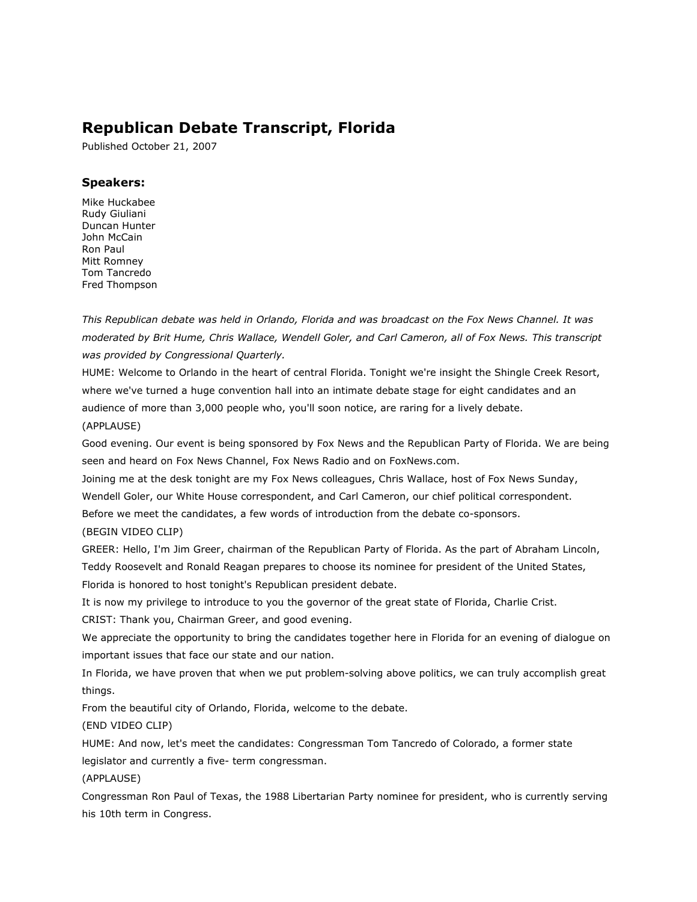# Republican Debate Transcript, Florida

Published October 21, 2007

## Speakers:

Mike Huckabee Rudy Giuliani Duncan Hunter John McCain Ron Paul Mitt Romney Tom Tancredo Fred Thompson

This Republican debate was held in Orlando, Florida and was broadcast on the Fox News Channel. It was moderated by Brit Hume, Chris Wallace, Wendell Goler, and Carl Cameron, all of Fox News. This transcript was provided by Congressional Quarterly.

HUME: Welcome to Orlando in the heart of central Florida. Tonight we're insight the Shingle Creek Resort, where we've turned a huge convention hall into an intimate debate stage for eight candidates and an audience of more than 3,000 people who, you'll soon notice, are raring for a lively debate.

## (APPLAUSE)

Good evening. Our event is being sponsored by Fox News and the Republican Party of Florida. We are being seen and heard on Fox News Channel, Fox News Radio and on FoxNews.com.

Joining me at the desk tonight are my Fox News colleagues, Chris Wallace, host of Fox News Sunday, Wendell Goler, our White House correspondent, and Carl Cameron, our chief political correspondent. Before we meet the candidates, a few words of introduction from the debate co-sponsors.

## (BEGIN VIDEO CLIP)

GREER: Hello, I'm Jim Greer, chairman of the Republican Party of Florida. As the part of Abraham Lincoln, Teddy Roosevelt and Ronald Reagan prepares to choose its nominee for president of the United States, Florida is honored to host tonight's Republican president debate.

It is now my privilege to introduce to you the governor of the great state of Florida, Charlie Crist.

CRIST: Thank you, Chairman Greer, and good evening.

We appreciate the opportunity to bring the candidates together here in Florida for an evening of dialogue on important issues that face our state and our nation.

In Florida, we have proven that when we put problem-solving above politics, we can truly accomplish great things.

From the beautiful city of Orlando, Florida, welcome to the debate.

(END VIDEO CLIP)

HUME: And now, let's meet the candidates: Congressman Tom Tancredo of Colorado, a former state legislator and currently a five- term congressman.

(APPLAUSE)

Congressman Ron Paul of Texas, the 1988 Libertarian Party nominee for president, who is currently serving his 10th term in Congress.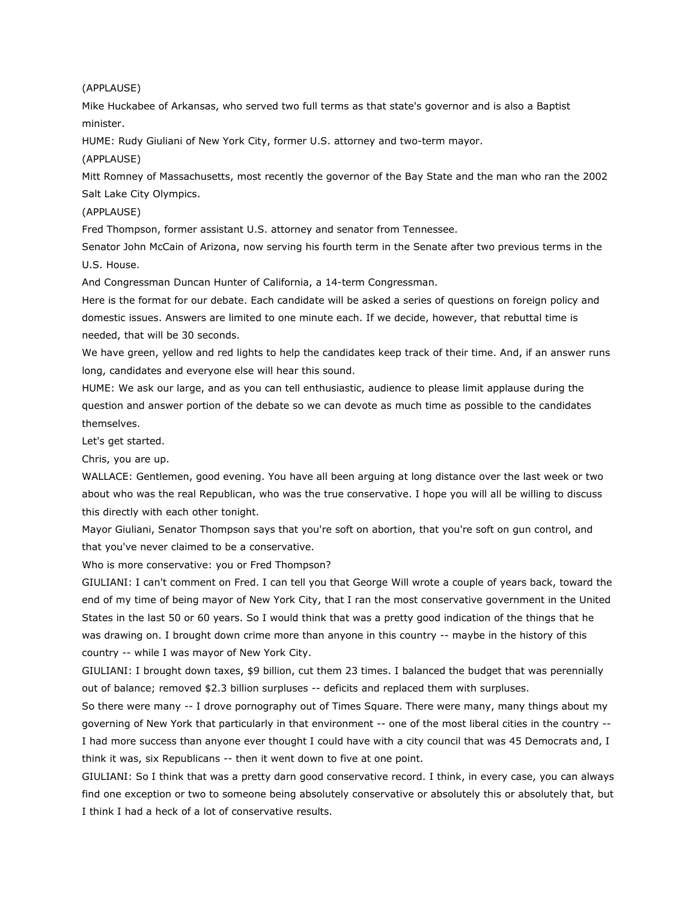(APPLAUSE)

Mike Huckabee of Arkansas, who served two full terms as that state's governor and is also a Baptist minister.

HUME: Rudy Giuliani of New York City, former U.S. attorney and two-term mayor.

(APPLAUSE)

Mitt Romney of Massachusetts, most recently the governor of the Bay State and the man who ran the 2002 Salt Lake City Olympics.

(APPLAUSE)

Fred Thompson, former assistant U.S. attorney and senator from Tennessee.

Senator John McCain of Arizona, now serving his fourth term in the Senate after two previous terms in the U.S. House.

And Congressman Duncan Hunter of California, a 14-term Congressman.

Here is the format for our debate. Each candidate will be asked a series of questions on foreign policy and domestic issues. Answers are limited to one minute each. If we decide, however, that rebuttal time is needed, that will be 30 seconds.

We have green, yellow and red lights to help the candidates keep track of their time. And, if an answer runs long, candidates and everyone else will hear this sound.

HUME: We ask our large, and as you can tell enthusiastic, audience to please limit applause during the question and answer portion of the debate so we can devote as much time as possible to the candidates themselves.

Let's get started.

Chris, you are up.

WALLACE: Gentlemen, good evening. You have all been arguing at long distance over the last week or two about who was the real Republican, who was the true conservative. I hope you will all be willing to discuss this directly with each other tonight.

Mayor Giuliani, Senator Thompson says that you're soft on abortion, that you're soft on gun control, and that you've never claimed to be a conservative.

Who is more conservative: you or Fred Thompson?

GIULIANI: I can't comment on Fred. I can tell you that George Will wrote a couple of years back, toward the end of my time of being mayor of New York City, that I ran the most conservative government in the United States in the last 50 or 60 years. So I would think that was a pretty good indication of the things that he was drawing on. I brought down crime more than anyone in this country -- maybe in the history of this country -- while I was mayor of New York City.

GIULIANI: I brought down taxes, \$9 billion, cut them 23 times. I balanced the budget that was perennially out of balance; removed \$2.3 billion surpluses -- deficits and replaced them with surpluses.

So there were many -- I drove pornography out of Times Square. There were many, many things about my governing of New York that particularly in that environment -- one of the most liberal cities in the country -- I had more success than anyone ever thought I could have with a city council that was 45 Democrats and, I think it was, six Republicans -- then it went down to five at one point.

GIULIANI: So I think that was a pretty darn good conservative record. I think, in every case, you can always find one exception or two to someone being absolutely conservative or absolutely this or absolutely that, but I think I had a heck of a lot of conservative results.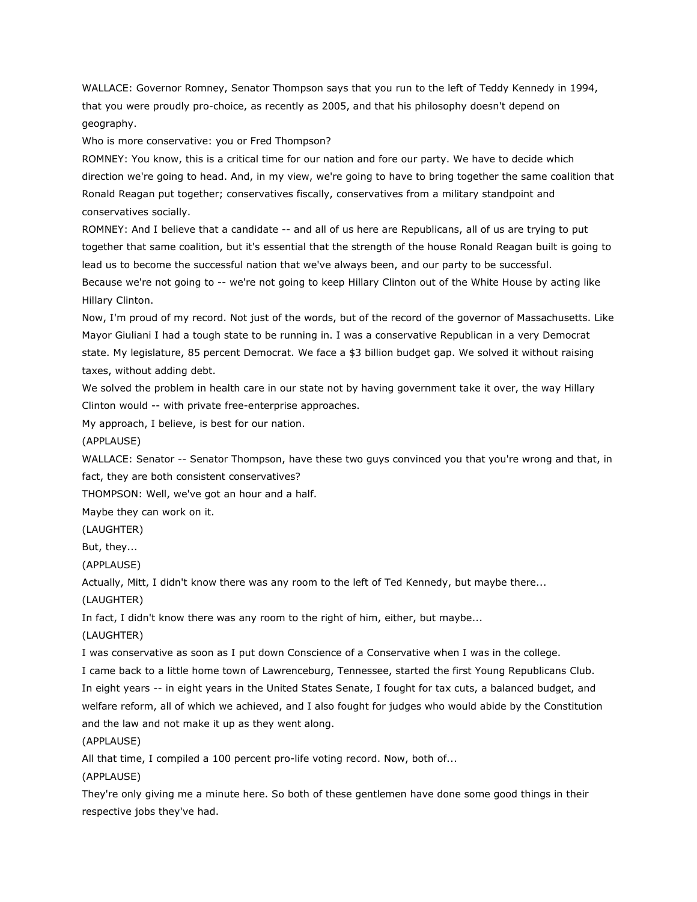WALLACE: Governor Romney, Senator Thompson says that you run to the left of Teddy Kennedy in 1994, that you were proudly pro-choice, as recently as 2005, and that his philosophy doesn't depend on geography.

Who is more conservative: you or Fred Thompson?

ROMNEY: You know, this is a critical time for our nation and fore our party. We have to decide which direction we're going to head. And, in my view, we're going to have to bring together the same coalition that Ronald Reagan put together; conservatives fiscally, conservatives from a military standpoint and conservatives socially.

ROMNEY: And I believe that a candidate -- and all of us here are Republicans, all of us are trying to put together that same coalition, but it's essential that the strength of the house Ronald Reagan built is going to lead us to become the successful nation that we've always been, and our party to be successful. Because we're not going to -- we're not going to keep Hillary Clinton out of the White House by acting like Hillary Clinton.

Now, I'm proud of my record. Not just of the words, but of the record of the governor of Massachusetts. Like Mayor Giuliani I had a tough state to be running in. I was a conservative Republican in a very Democrat state. My legislature, 85 percent Democrat. We face a \$3 billion budget gap. We solved it without raising taxes, without adding debt.

We solved the problem in health care in our state not by having government take it over, the way Hillary Clinton would -- with private free-enterprise approaches.

My approach, I believe, is best for our nation.

(APPLAUSE)

WALLACE: Senator -- Senator Thompson, have these two guys convinced you that you're wrong and that, in fact, they are both consistent conservatives?

THOMPSON: Well, we've got an hour and a half.

Maybe they can work on it.

(LAUGHTER)

But, they...

(APPLAUSE)

Actually, Mitt, I didn't know there was any room to the left of Ted Kennedy, but maybe there...

(LAUGHTER)

In fact, I didn't know there was any room to the right of him, either, but maybe...

(LAUGHTER)

I was conservative as soon as I put down Conscience of a Conservative when I was in the college.

I came back to a little home town of Lawrenceburg, Tennessee, started the first Young Republicans Club. In eight years -- in eight years in the United States Senate, I fought for tax cuts, a balanced budget, and

welfare reform, all of which we achieved, and I also fought for judges who would abide by the Constitution and the law and not make it up as they went along.

(APPLAUSE)

All that time, I compiled a 100 percent pro-life voting record. Now, both of...

(APPLAUSE)

They're only giving me a minute here. So both of these gentlemen have done some good things in their respective jobs they've had.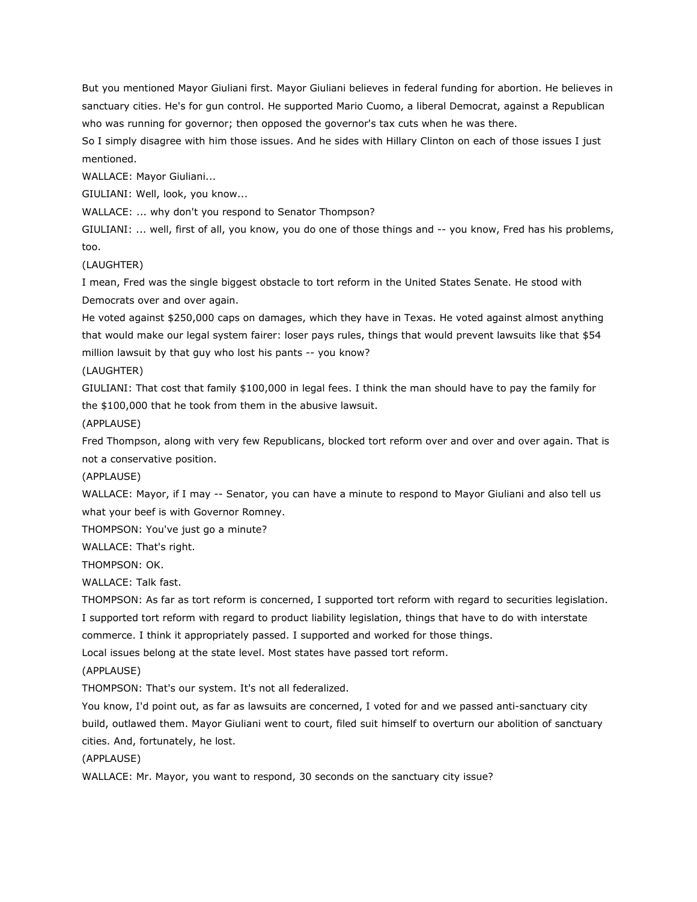But you mentioned Mayor Giuliani first. Mayor Giuliani believes in federal funding for abortion. He believes in sanctuary cities. He's for gun control. He supported Mario Cuomo, a liberal Democrat, against a Republican who was running for governor; then opposed the governor's tax cuts when he was there.

So I simply disagree with him those issues. And he sides with Hillary Clinton on each of those issues I just mentioned.

WALLACE: Mayor Giuliani...

GIULIANI: Well, look, you know...

WALLACE: ... why don't you respond to Senator Thompson?

GIULIANI: ... well, first of all, you know, you do one of those things and -- you know, Fred has his problems, too.

(LAUGHTER)

I mean, Fred was the single biggest obstacle to tort reform in the United States Senate. He stood with Democrats over and over again.

He voted against \$250,000 caps on damages, which they have in Texas. He voted against almost anything that would make our legal system fairer: loser pays rules, things that would prevent lawsuits like that \$54 million lawsuit by that guy who lost his pants -- you know?

## (LAUGHTER)

GIULIANI: That cost that family \$100,000 in legal fees. I think the man should have to pay the family for the \$100,000 that he took from them in the abusive lawsuit.

#### (APPLAUSE)

Fred Thompson, along with very few Republicans, blocked tort reform over and over and over again. That is not a conservative position.

### (APPLAUSE)

WALLACE: Mayor, if I may -- Senator, you can have a minute to respond to Mayor Giuliani and also tell us what your beef is with Governor Romney.

THOMPSON: You've just go a minute?

WALLACE: That's right.

THOMPSON: OK.

WALLACE: Talk fast.

THOMPSON: As far as tort reform is concerned, I supported tort reform with regard to securities legislation. I supported tort reform with regard to product liability legislation, things that have to do with interstate

commerce. I think it appropriately passed. I supported and worked for those things.

Local issues belong at the state level. Most states have passed tort reform.

(APPLAUSE)

THOMPSON: That's our system. It's not all federalized.

You know, I'd point out, as far as lawsuits are concerned, I voted for and we passed anti-sanctuary city build, outlawed them. Mayor Giuliani went to court, filed suit himself to overturn our abolition of sanctuary cities. And, fortunately, he lost.

(APPLAUSE)

WALLACE: Mr. Mayor, you want to respond, 30 seconds on the sanctuary city issue?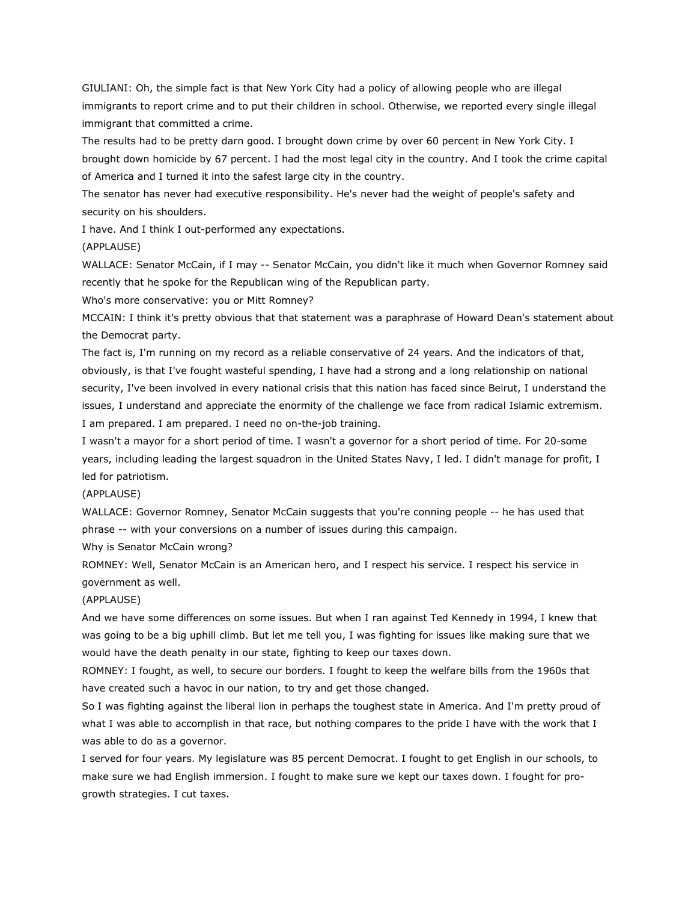GIULIANI: Oh, the simple fact is that New York City had a policy of allowing people who are illegal immigrants to report crime and to put their children in school. Otherwise, we reported every single illegal immigrant that committed a crime.

The results had to be pretty darn good. I brought down crime by over 60 percent in New York City. I brought down homicide by 67 percent. I had the most legal city in the country. And I took the crime capital of America and I turned it into the safest large city in the country.

The senator has never had executive responsibility. He's never had the weight of people's safety and security on his shoulders.

I have. And I think I out-performed any expectations.

#### (APPLAUSE)

WALLACE: Senator McCain, if I may -- Senator McCain, you didn't like it much when Governor Romney said recently that he spoke for the Republican wing of the Republican party.

Who's more conservative: you or Mitt Romney?

MCCAIN: I think it's pretty obvious that that statement was a paraphrase of Howard Dean's statement about the Democrat party.

The fact is, I'm running on my record as a reliable conservative of 24 years. And the indicators of that, obviously, is that I've fought wasteful spending, I have had a strong and a long relationship on national security, I've been involved in every national crisis that this nation has faced since Beirut, I understand the issues, I understand and appreciate the enormity of the challenge we face from radical Islamic extremism. I am prepared. I am prepared. I need no on-the-job training.

I wasn't a mayor for a short period of time. I wasn't a governor for a short period of time. For 20-some years, including leading the largest squadron in the United States Navy, I led. I didn't manage for profit, I led for patriotism.

## (APPLAUSE)

WALLACE: Governor Romney, Senator McCain suggests that you're conning people -- he has used that phrase -- with your conversions on a number of issues during this campaign.

Why is Senator McCain wrong?

ROMNEY: Well, Senator McCain is an American hero, and I respect his service. I respect his service in government as well.

#### (APPLAUSE)

And we have some differences on some issues. But when I ran against Ted Kennedy in 1994, I knew that was going to be a big uphill climb. But let me tell you, I was fighting for issues like making sure that we would have the death penalty in our state, fighting to keep our taxes down.

ROMNEY: I fought, as well, to secure our borders. I fought to keep the welfare bills from the 1960s that have created such a havoc in our nation, to try and get those changed.

So I was fighting against the liberal lion in perhaps the toughest state in America. And I'm pretty proud of what I was able to accomplish in that race, but nothing compares to the pride I have with the work that I was able to do as a governor.

I served for four years. My legislature was 85 percent Democrat. I fought to get English in our schools, to make sure we had English immersion. I fought to make sure we kept our taxes down. I fought for progrowth strategies. I cut taxes.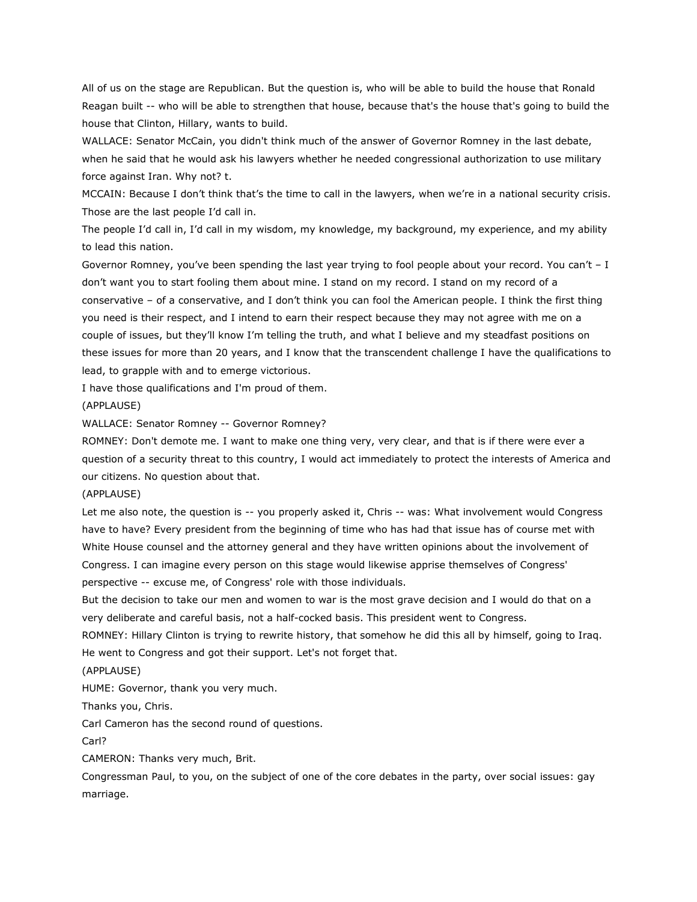All of us on the stage are Republican. But the question is, who will be able to build the house that Ronald Reagan built -- who will be able to strengthen that house, because that's the house that's going to build the house that Clinton, Hillary, wants to build.

WALLACE: Senator McCain, you didn't think much of the answer of Governor Romney in the last debate, when he said that he would ask his lawyers whether he needed congressional authorization to use military force against Iran. Why not? t.

MCCAIN: Because I don't think that's the time to call in the lawyers, when we're in a national security crisis. Those are the last people I'd call in.

The people I'd call in, I'd call in my wisdom, my knowledge, my background, my experience, and my ability to lead this nation.

Governor Romney, you've been spending the last year trying to fool people about your record. You can't – I don't want you to start fooling them about mine. I stand on my record. I stand on my record of a conservative – of a conservative, and I don't think you can fool the American people. I think the first thing you need is their respect, and I intend to earn their respect because they may not agree with me on a couple of issues, but they'll know I'm telling the truth, and what I believe and my steadfast positions on these issues for more than 20 years, and I know that the transcendent challenge I have the qualifications to lead, to grapple with and to emerge victorious.

I have those qualifications and I'm proud of them.

(APPLAUSE)

WALLACE: Senator Romney -- Governor Romney?

ROMNEY: Don't demote me. I want to make one thing very, very clear, and that is if there were ever a question of a security threat to this country, I would act immediately to protect the interests of America and our citizens. No question about that.

(APPLAUSE)

Let me also note, the question is -- you properly asked it, Chris -- was: What involvement would Congress have to have? Every president from the beginning of time who has had that issue has of course met with White House counsel and the attorney general and they have written opinions about the involvement of Congress. I can imagine every person on this stage would likewise apprise themselves of Congress' perspective -- excuse me, of Congress' role with those individuals.

But the decision to take our men and women to war is the most grave decision and I would do that on a very deliberate and careful basis, not a half-cocked basis. This president went to Congress.

ROMNEY: Hillary Clinton is trying to rewrite history, that somehow he did this all by himself, going to Iraq. He went to Congress and got their support. Let's not forget that.

(APPLAUSE)

HUME: Governor, thank you very much.

Thanks you, Chris.

Carl Cameron has the second round of questions.

Carl?

CAMERON: Thanks very much, Brit.

Congressman Paul, to you, on the subject of one of the core debates in the party, over social issues: gay marriage.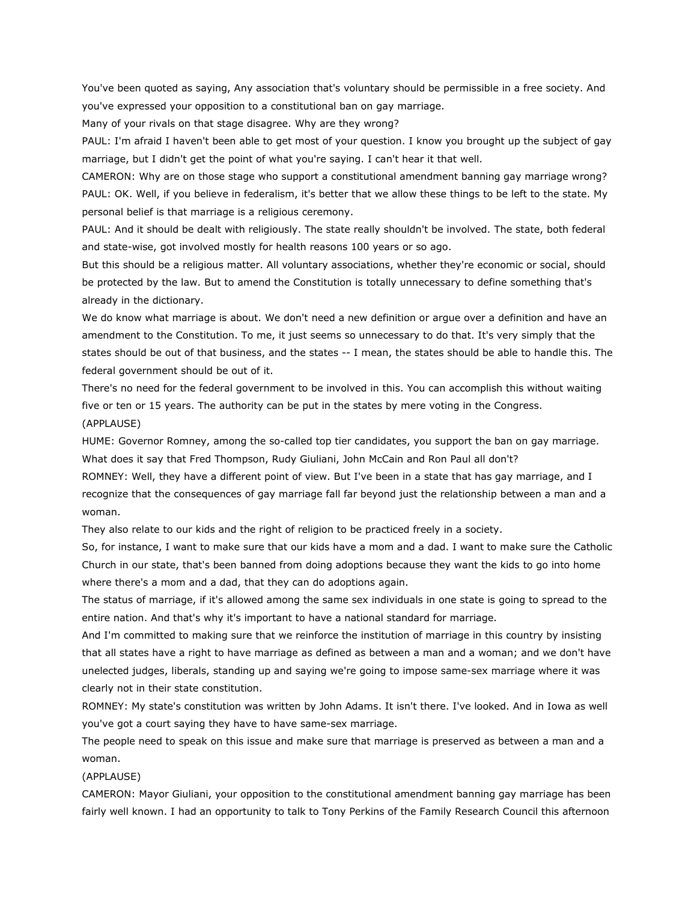You've been quoted as saying, Any association that's voluntary should be permissible in a free society. And you've expressed your opposition to a constitutional ban on gay marriage.

Many of your rivals on that stage disagree. Why are they wrong?

PAUL: I'm afraid I haven't been able to get most of your question. I know you brought up the subject of gay marriage, but I didn't get the point of what you're saying. I can't hear it that well.

CAMERON: Why are on those stage who support a constitutional amendment banning gay marriage wrong? PAUL: OK. Well, if you believe in federalism, it's better that we allow these things to be left to the state. My personal belief is that marriage is a religious ceremony.

PAUL: And it should be dealt with religiously. The state really shouldn't be involved. The state, both federal and state-wise, got involved mostly for health reasons 100 years or so ago.

But this should be a religious matter. All voluntary associations, whether they're economic or social, should be protected by the law. But to amend the Constitution is totally unnecessary to define something that's already in the dictionary.

We do know what marriage is about. We don't need a new definition or argue over a definition and have an amendment to the Constitution. To me, it just seems so unnecessary to do that. It's very simply that the states should be out of that business, and the states -- I mean, the states should be able to handle this. The federal government should be out of it.

There's no need for the federal government to be involved in this. You can accomplish this without waiting five or ten or 15 years. The authority can be put in the states by mere voting in the Congress. (APPLAUSE)

HUME: Governor Romney, among the so-called top tier candidates, you support the ban on gay marriage. What does it say that Fred Thompson, Rudy Giuliani, John McCain and Ron Paul all don't?

ROMNEY: Well, they have a different point of view. But I've been in a state that has gay marriage, and I recognize that the consequences of gay marriage fall far beyond just the relationship between a man and a woman.

They also relate to our kids and the right of religion to be practiced freely in a society.

So, for instance, I want to make sure that our kids have a mom and a dad. I want to make sure the Catholic Church in our state, that's been banned from doing adoptions because they want the kids to go into home where there's a mom and a dad, that they can do adoptions again.

The status of marriage, if it's allowed among the same sex individuals in one state is going to spread to the entire nation. And that's why it's important to have a national standard for marriage.

And I'm committed to making sure that we reinforce the institution of marriage in this country by insisting that all states have a right to have marriage as defined as between a man and a woman; and we don't have unelected judges, liberals, standing up and saying we're going to impose same-sex marriage where it was clearly not in their state constitution.

ROMNEY: My state's constitution was written by John Adams. It isn't there. I've looked. And in Iowa as well you've got a court saying they have to have same-sex marriage.

The people need to speak on this issue and make sure that marriage is preserved as between a man and a woman.

## (APPLAUSE)

CAMERON: Mayor Giuliani, your opposition to the constitutional amendment banning gay marriage has been fairly well known. I had an opportunity to talk to Tony Perkins of the Family Research Council this afternoon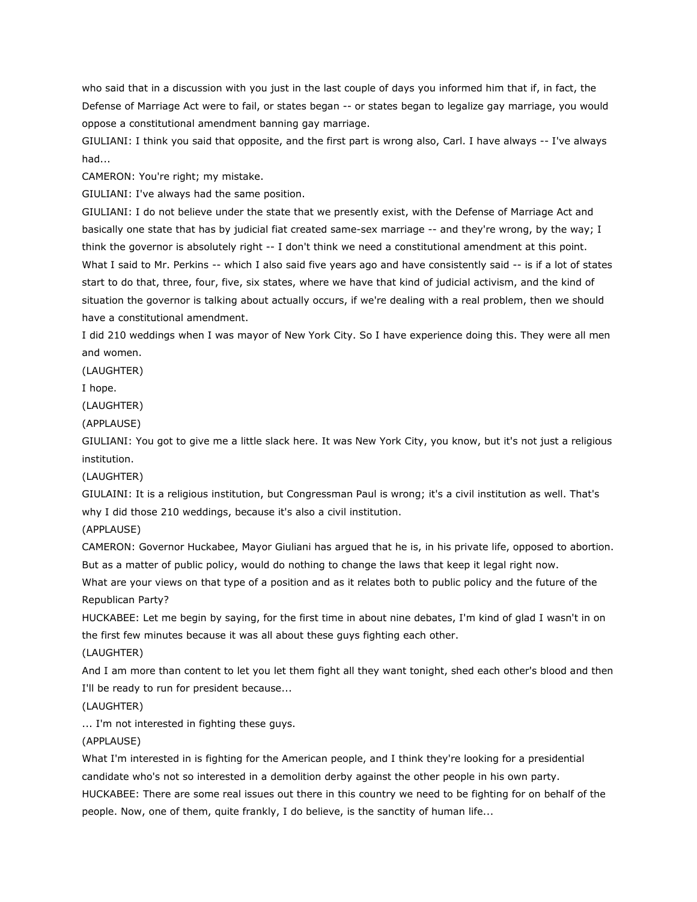who said that in a discussion with you just in the last couple of days you informed him that if, in fact, the Defense of Marriage Act were to fail, or states began -- or states began to legalize gay marriage, you would oppose a constitutional amendment banning gay marriage.

GIULIANI: I think you said that opposite, and the first part is wrong also, Carl. I have always -- I've always had...

CAMERON: You're right; my mistake.

GIULIANI: I've always had the same position.

GIULIANI: I do not believe under the state that we presently exist, with the Defense of Marriage Act and basically one state that has by judicial fiat created same-sex marriage -- and they're wrong, by the way; I think the governor is absolutely right -- I don't think we need a constitutional amendment at this point. What I said to Mr. Perkins -- which I also said five years ago and have consistently said -- is if a lot of states start to do that, three, four, five, six states, where we have that kind of judicial activism, and the kind of situation the governor is talking about actually occurs, if we're dealing with a real problem, then we should have a constitutional amendment.

I did 210 weddings when I was mayor of New York City. So I have experience doing this. They were all men and women.

(LAUGHTER)

I hope.

(LAUGHTER)

(APPLAUSE)

GIULIANI: You got to give me a little slack here. It was New York City, you know, but it's not just a religious institution.

(LAUGHTER)

GIULAINI: It is a religious institution, but Congressman Paul is wrong; it's a civil institution as well. That's why I did those 210 weddings, because it's also a civil institution.

(APPLAUSE)

CAMERON: Governor Huckabee, Mayor Giuliani has argued that he is, in his private life, opposed to abortion. But as a matter of public policy, would do nothing to change the laws that keep it legal right now.

What are your views on that type of a position and as it relates both to public policy and the future of the Republican Party?

HUCKABEE: Let me begin by saying, for the first time in about nine debates, I'm kind of glad I wasn't in on the first few minutes because it was all about these guys fighting each other.

(LAUGHTER)

And I am more than content to let you let them fight all they want tonight, shed each other's blood and then I'll be ready to run for president because...

(LAUGHTER)

... I'm not interested in fighting these guys.

(APPLAUSE)

What I'm interested in is fighting for the American people, and I think they're looking for a presidential candidate who's not so interested in a demolition derby against the other people in his own party. HUCKABEE: There are some real issues out there in this country we need to be fighting for on behalf of the people. Now, one of them, quite frankly, I do believe, is the sanctity of human life...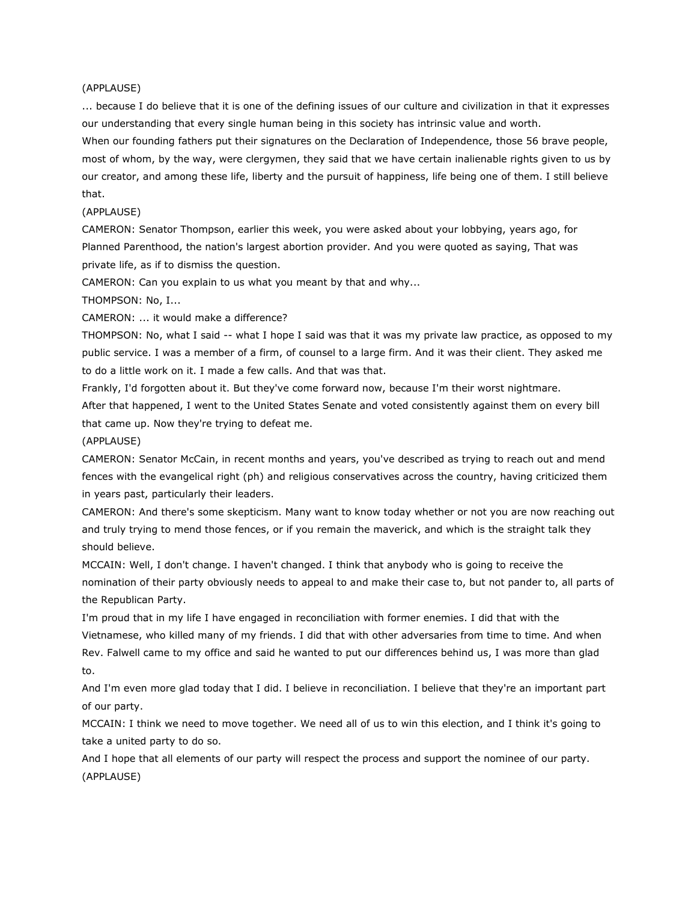#### (APPLAUSE)

... because I do believe that it is one of the defining issues of our culture and civilization in that it expresses our understanding that every single human being in this society has intrinsic value and worth.

When our founding fathers put their signatures on the Declaration of Independence, those 56 brave people, most of whom, by the way, were clergymen, they said that we have certain inalienable rights given to us by our creator, and among these life, liberty and the pursuit of happiness, life being one of them. I still believe that.

## (APPLAUSE)

CAMERON: Senator Thompson, earlier this week, you were asked about your lobbying, years ago, for Planned Parenthood, the nation's largest abortion provider. And you were quoted as saying, That was private life, as if to dismiss the question.

CAMERON: Can you explain to us what you meant by that and why...

THOMPSON: No, I...

CAMERON: ... it would make a difference?

THOMPSON: No, what I said -- what I hope I said was that it was my private law practice, as opposed to my public service. I was a member of a firm, of counsel to a large firm. And it was their client. They asked me to do a little work on it. I made a few calls. And that was that.

Frankly, I'd forgotten about it. But they've come forward now, because I'm their worst nightmare. After that happened, I went to the United States Senate and voted consistently against them on every bill that came up. Now they're trying to defeat me.

(APPLAUSE)

CAMERON: Senator McCain, in recent months and years, you've described as trying to reach out and mend fences with the evangelical right (ph) and religious conservatives across the country, having criticized them in years past, particularly their leaders.

CAMERON: And there's some skepticism. Many want to know today whether or not you are now reaching out and truly trying to mend those fences, or if you remain the maverick, and which is the straight talk they should believe.

MCCAIN: Well, I don't change. I haven't changed. I think that anybody who is going to receive the nomination of their party obviously needs to appeal to and make their case to, but not pander to, all parts of the Republican Party.

I'm proud that in my life I have engaged in reconciliation with former enemies. I did that with the Vietnamese, who killed many of my friends. I did that with other adversaries from time to time. And when Rev. Falwell came to my office and said he wanted to put our differences behind us, I was more than glad to.

And I'm even more glad today that I did. I believe in reconciliation. I believe that they're an important part of our party.

MCCAIN: I think we need to move together. We need all of us to win this election, and I think it's going to take a united party to do so.

And I hope that all elements of our party will respect the process and support the nominee of our party. (APPLAUSE)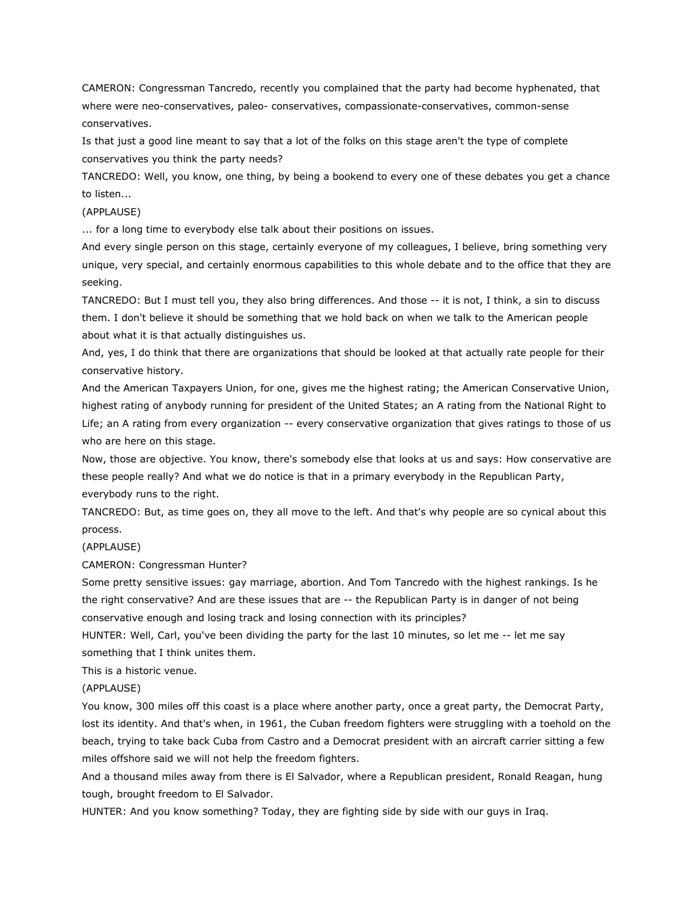CAMERON: Congressman Tancredo, recently you complained that the party had become hyphenated, that where were neo-conservatives, paleo- conservatives, compassionate-conservatives, common-sense conservatives.

Is that just a good line meant to say that a lot of the folks on this stage aren't the type of complete conservatives you think the party needs?

TANCREDO: Well, you know, one thing, by being a bookend to every one of these debates you get a chance to listen...

(APPLAUSE)

... for a long time to everybody else talk about their positions on issues.

And every single person on this stage, certainly everyone of my colleagues, I believe, bring something very unique, very special, and certainly enormous capabilities to this whole debate and to the office that they are seeking.

TANCREDO: But I must tell you, they also bring differences. And those -- it is not, I think, a sin to discuss them. I don't believe it should be something that we hold back on when we talk to the American people about what it is that actually distinguishes us.

And, yes, I do think that there are organizations that should be looked at that actually rate people for their conservative history.

And the American Taxpayers Union, for one, gives me the highest rating; the American Conservative Union, highest rating of anybody running for president of the United States; an A rating from the National Right to Life; an A rating from every organization -- every conservative organization that gives ratings to those of us who are here on this stage.

Now, those are objective. You know, there's somebody else that looks at us and says: How conservative are these people really? And what we do notice is that in a primary everybody in the Republican Party, everybody runs to the right.

TANCREDO: But, as time goes on, they all move to the left. And that's why people are so cynical about this process.

(APPLAUSE)

CAMERON: Congressman Hunter?

Some pretty sensitive issues: gay marriage, abortion. And Tom Tancredo with the highest rankings. Is he the right conservative? And are these issues that are -- the Republican Party is in danger of not being conservative enough and losing track and losing connection with its principles?

HUNTER: Well, Carl, you've been dividing the party for the last 10 minutes, so let me -- let me say something that I think unites them.

This is a historic venue.

(APPLAUSE)

You know, 300 miles off this coast is a place where another party, once a great party, the Democrat Party, lost its identity. And that's when, in 1961, the Cuban freedom fighters were struggling with a toehold on the beach, trying to take back Cuba from Castro and a Democrat president with an aircraft carrier sitting a few miles offshore said we will not help the freedom fighters.

And a thousand miles away from there is El Salvador, where a Republican president, Ronald Reagan, hung tough, brought freedom to El Salvador.

HUNTER: And you know something? Today, they are fighting side by side with our guys in Iraq.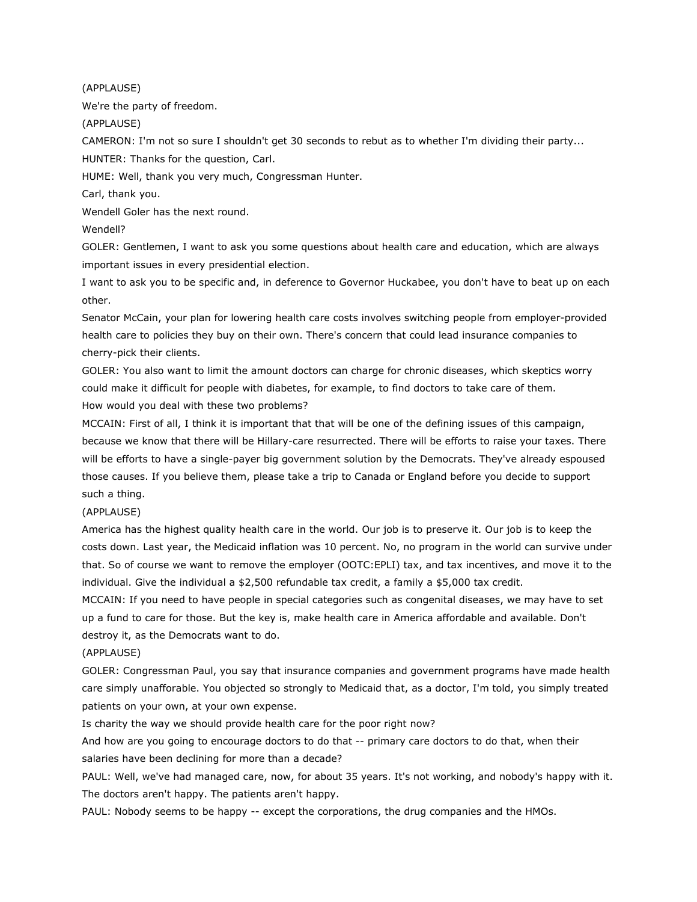(APPLAUSE)

We're the party of freedom.

(APPLAUSE)

CAMERON: I'm not so sure I shouldn't get 30 seconds to rebut as to whether I'm dividing their party...

HUNTER: Thanks for the question, Carl.

HUME: Well, thank you very much, Congressman Hunter.

Carl, thank you.

Wendell Goler has the next round.

Wendell?

GOLER: Gentlemen, I want to ask you some questions about health care and education, which are always important issues in every presidential election.

I want to ask you to be specific and, in deference to Governor Huckabee, you don't have to beat up on each other.

Senator McCain, your plan for lowering health care costs involves switching people from employer-provided health care to policies they buy on their own. There's concern that could lead insurance companies to cherry-pick their clients.

GOLER: You also want to limit the amount doctors can charge for chronic diseases, which skeptics worry could make it difficult for people with diabetes, for example, to find doctors to take care of them. How would you deal with these two problems?

MCCAIN: First of all, I think it is important that that will be one of the defining issues of this campaign, because we know that there will be Hillary-care resurrected. There will be efforts to raise your taxes. There will be efforts to have a single-payer big government solution by the Democrats. They've already espoused those causes. If you believe them, please take a trip to Canada or England before you decide to support such a thing.

## (APPLAUSE)

America has the highest quality health care in the world. Our job is to preserve it. Our job is to keep the costs down. Last year, the Medicaid inflation was 10 percent. No, no program in the world can survive under that. So of course we want to remove the employer (OOTC:EPLI) tax, and tax incentives, and move it to the individual. Give the individual a \$2,500 refundable tax credit, a family a \$5,000 tax credit.

MCCAIN: If you need to have people in special categories such as congenital diseases, we may have to set up a fund to care for those. But the key is, make health care in America affordable and available. Don't destroy it, as the Democrats want to do.

#### (APPLAUSE)

GOLER: Congressman Paul, you say that insurance companies and government programs have made health care simply unafforable. You objected so strongly to Medicaid that, as a doctor, I'm told, you simply treated patients on your own, at your own expense.

Is charity the way we should provide health care for the poor right now?

And how are you going to encourage doctors to do that -- primary care doctors to do that, when their salaries have been declining for more than a decade?

PAUL: Well, we've had managed care, now, for about 35 years. It's not working, and nobody's happy with it. The doctors aren't happy. The patients aren't happy.

PAUL: Nobody seems to be happy -- except the corporations, the drug companies and the HMOs.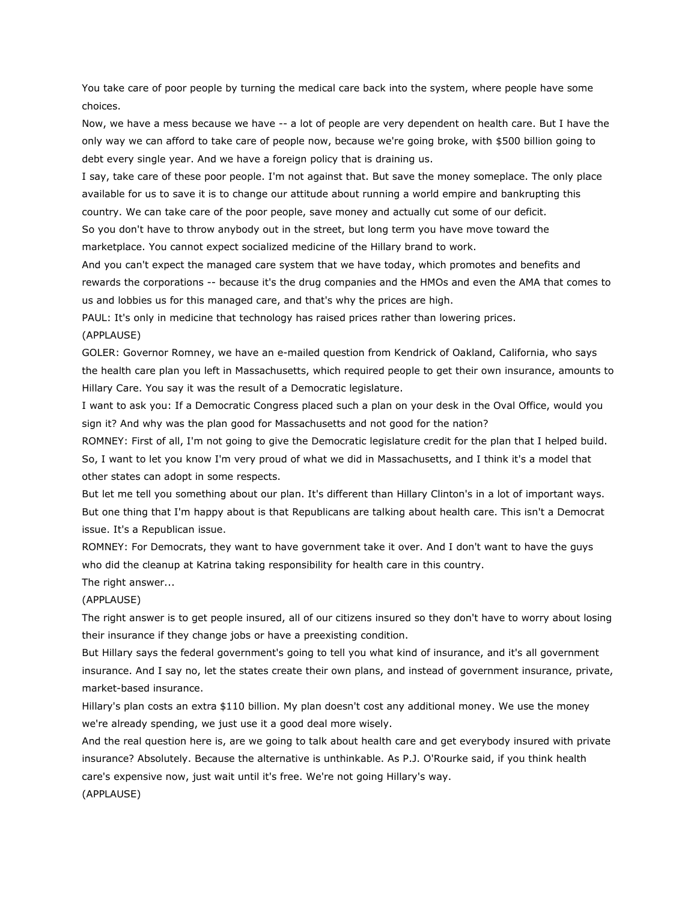You take care of poor people by turning the medical care back into the system, where people have some choices.

Now, we have a mess because we have -- a lot of people are very dependent on health care. But I have the only way we can afford to take care of people now, because we're going broke, with \$500 billion going to debt every single year. And we have a foreign policy that is draining us.

I say, take care of these poor people. I'm not against that. But save the money someplace. The only place available for us to save it is to change our attitude about running a world empire and bankrupting this country. We can take care of the poor people, save money and actually cut some of our deficit. So you don't have to throw anybody out in the street, but long term you have move toward the

marketplace. You cannot expect socialized medicine of the Hillary brand to work.

And you can't expect the managed care system that we have today, which promotes and benefits and rewards the corporations -- because it's the drug companies and the HMOs and even the AMA that comes to us and lobbies us for this managed care, and that's why the prices are high.

PAUL: It's only in medicine that technology has raised prices rather than lowering prices.

#### (APPLAUSE)

GOLER: Governor Romney, we have an e-mailed question from Kendrick of Oakland, California, who says the health care plan you left in Massachusetts, which required people to get their own insurance, amounts to Hillary Care. You say it was the result of a Democratic legislature.

I want to ask you: If a Democratic Congress placed such a plan on your desk in the Oval Office, would you sign it? And why was the plan good for Massachusetts and not good for the nation?

ROMNEY: First of all, I'm not going to give the Democratic legislature credit for the plan that I helped build. So, I want to let you know I'm very proud of what we did in Massachusetts, and I think it's a model that other states can adopt in some respects.

But let me tell you something about our plan. It's different than Hillary Clinton's in a lot of important ways. But one thing that I'm happy about is that Republicans are talking about health care. This isn't a Democrat issue. It's a Republican issue.

ROMNEY: For Democrats, they want to have government take it over. And I don't want to have the guys who did the cleanup at Katrina taking responsibility for health care in this country.

## The right answer...

## (APPLAUSE)

The right answer is to get people insured, all of our citizens insured so they don't have to worry about losing their insurance if they change jobs or have a preexisting condition.

But Hillary says the federal government's going to tell you what kind of insurance, and it's all government insurance. And I say no, let the states create their own plans, and instead of government insurance, private, market-based insurance.

Hillary's plan costs an extra \$110 billion. My plan doesn't cost any additional money. We use the money we're already spending, we just use it a good deal more wisely.

And the real question here is, are we going to talk about health care and get everybody insured with private insurance? Absolutely. Because the alternative is unthinkable. As P.J. O'Rourke said, if you think health care's expensive now, just wait until it's free. We're not going Hillary's way.

(APPLAUSE)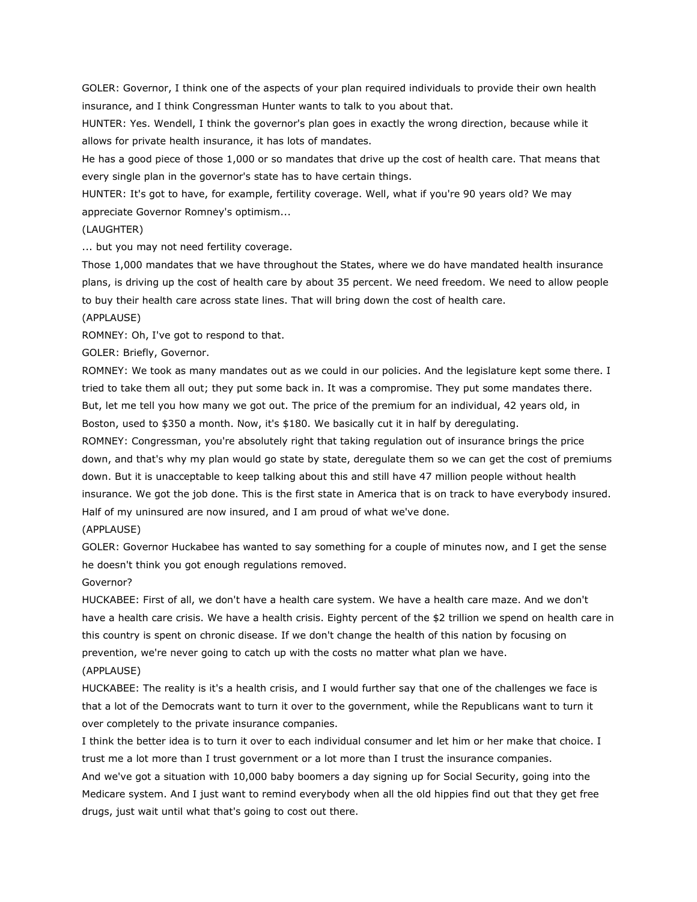GOLER: Governor, I think one of the aspects of your plan required individuals to provide their own health insurance, and I think Congressman Hunter wants to talk to you about that.

HUNTER: Yes. Wendell, I think the governor's plan goes in exactly the wrong direction, because while it allows for private health insurance, it has lots of mandates.

He has a good piece of those 1,000 or so mandates that drive up the cost of health care. That means that every single plan in the governor's state has to have certain things.

HUNTER: It's got to have, for example, fertility coverage. Well, what if you're 90 years old? We may appreciate Governor Romney's optimism...

### (LAUGHTER)

... but you may not need fertility coverage.

Those 1,000 mandates that we have throughout the States, where we do have mandated health insurance plans, is driving up the cost of health care by about 35 percent. We need freedom. We need to allow people to buy their health care across state lines. That will bring down the cost of health care.

## (APPLAUSE)

ROMNEY: Oh, I've got to respond to that.

GOLER: Briefly, Governor.

ROMNEY: We took as many mandates out as we could in our policies. And the legislature kept some there. I tried to take them all out; they put some back in. It was a compromise. They put some mandates there. But, let me tell you how many we got out. The price of the premium for an individual, 42 years old, in Boston, used to \$350 a month. Now, it's \$180. We basically cut it in half by deregulating.

ROMNEY: Congressman, you're absolutely right that taking regulation out of insurance brings the price down, and that's why my plan would go state by state, deregulate them so we can get the cost of premiums down. But it is unacceptable to keep talking about this and still have 47 million people without health insurance. We got the job done. This is the first state in America that is on track to have everybody insured. Half of my uninsured are now insured, and I am proud of what we've done.

#### (APPLAUSE)

GOLER: Governor Huckabee has wanted to say something for a couple of minutes now, and I get the sense he doesn't think you got enough regulations removed.

## Governor?

HUCKABEE: First of all, we don't have a health care system. We have a health care maze. And we don't have a health care crisis. We have a health crisis. Eighty percent of the \$2 trillion we spend on health care in this country is spent on chronic disease. If we don't change the health of this nation by focusing on prevention, we're never going to catch up with the costs no matter what plan we have.

## (APPLAUSE)

HUCKABEE: The reality is it's a health crisis, and I would further say that one of the challenges we face is that a lot of the Democrats want to turn it over to the government, while the Republicans want to turn it over completely to the private insurance companies.

I think the better idea is to turn it over to each individual consumer and let him or her make that choice. I trust me a lot more than I trust government or a lot more than I trust the insurance companies. And we've got a situation with 10,000 baby boomers a day signing up for Social Security, going into the Medicare system. And I just want to remind everybody when all the old hippies find out that they get free drugs, just wait until what that's going to cost out there.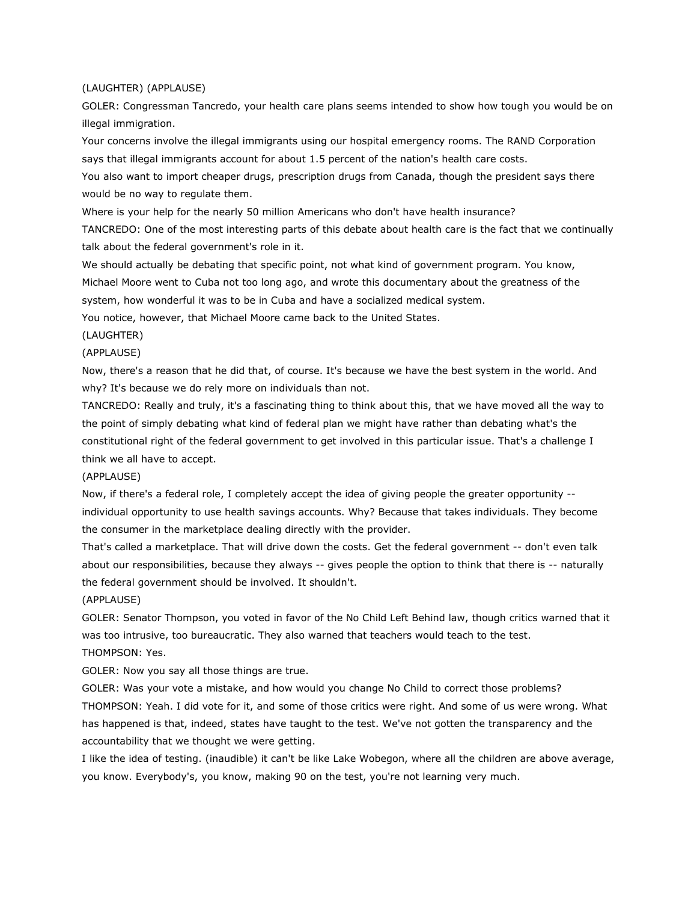#### (LAUGHTER) (APPLAUSE)

GOLER: Congressman Tancredo, your health care plans seems intended to show how tough you would be on illegal immigration.

Your concerns involve the illegal immigrants using our hospital emergency rooms. The RAND Corporation says that illegal immigrants account for about 1.5 percent of the nation's health care costs.

You also want to import cheaper drugs, prescription drugs from Canada, though the president says there would be no way to regulate them.

Where is your help for the nearly 50 million Americans who don't have health insurance?

TANCREDO: One of the most interesting parts of this debate about health care is the fact that we continually talk about the federal government's role in it.

We should actually be debating that specific point, not what kind of government program. You know, Michael Moore went to Cuba not too long ago, and wrote this documentary about the greatness of the system, how wonderful it was to be in Cuba and have a socialized medical system.

You notice, however, that Michael Moore came back to the United States.

#### (LAUGHTER)

## (APPLAUSE)

Now, there's a reason that he did that, of course. It's because we have the best system in the world. And why? It's because we do rely more on individuals than not.

TANCREDO: Really and truly, it's a fascinating thing to think about this, that we have moved all the way to the point of simply debating what kind of federal plan we might have rather than debating what's the constitutional right of the federal government to get involved in this particular issue. That's a challenge I think we all have to accept.

### (APPLAUSE)

Now, if there's a federal role, I completely accept the idea of giving people the greater opportunity - individual opportunity to use health savings accounts. Why? Because that takes individuals. They become the consumer in the marketplace dealing directly with the provider.

That's called a marketplace. That will drive down the costs. Get the federal government -- don't even talk about our responsibilities, because they always -- gives people the option to think that there is -- naturally the federal government should be involved. It shouldn't.

#### (APPLAUSE)

GOLER: Senator Thompson, you voted in favor of the No Child Left Behind law, though critics warned that it was too intrusive, too bureaucratic. They also warned that teachers would teach to the test. THOMPSON: Yes.

GOLER: Now you say all those things are true.

GOLER: Was your vote a mistake, and how would you change No Child to correct those problems? THOMPSON: Yeah. I did vote for it, and some of those critics were right. And some of us were wrong. What has happened is that, indeed, states have taught to the test. We've not gotten the transparency and the accountability that we thought we were getting.

I like the idea of testing. (inaudible) it can't be like Lake Wobegon, where all the children are above average, you know. Everybody's, you know, making 90 on the test, you're not learning very much.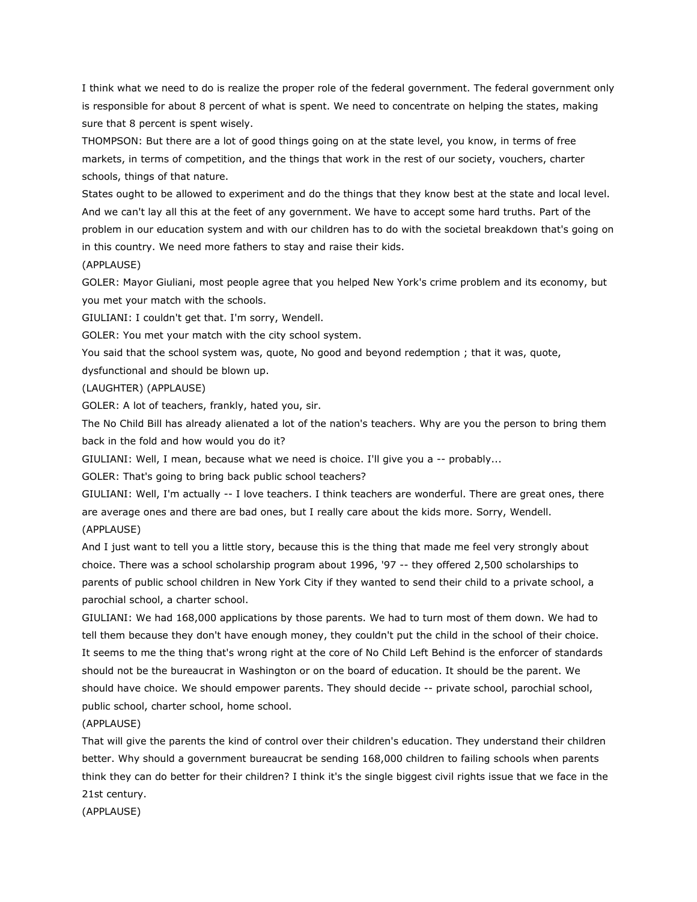I think what we need to do is realize the proper role of the federal government. The federal government only is responsible for about 8 percent of what is spent. We need to concentrate on helping the states, making sure that 8 percent is spent wisely.

THOMPSON: But there are a lot of good things going on at the state level, you know, in terms of free markets, in terms of competition, and the things that work in the rest of our society, vouchers, charter schools, things of that nature.

States ought to be allowed to experiment and do the things that they know best at the state and local level. And we can't lay all this at the feet of any government. We have to accept some hard truths. Part of the problem in our education system and with our children has to do with the societal breakdown that's going on in this country. We need more fathers to stay and raise their kids.

(APPLAUSE)

GOLER: Mayor Giuliani, most people agree that you helped New York's crime problem and its economy, but you met your match with the schools.

GIULIANI: I couldn't get that. I'm sorry, Wendell.

GOLER: You met your match with the city school system.

You said that the school system was, quote, No good and beyond redemption ; that it was, quote,

dysfunctional and should be blown up.

(LAUGHTER) (APPLAUSE)

GOLER: A lot of teachers, frankly, hated you, sir.

The No Child Bill has already alienated a lot of the nation's teachers. Why are you the person to bring them back in the fold and how would you do it?

GIULIANI: Well, I mean, because what we need is choice. I'll give you a -- probably...

GOLER: That's going to bring back public school teachers?

GIULIANI: Well, I'm actually -- I love teachers. I think teachers are wonderful. There are great ones, there are average ones and there are bad ones, but I really care about the kids more. Sorry, Wendell. (APPLAUSE)

And I just want to tell you a little story, because this is the thing that made me feel very strongly about choice. There was a school scholarship program about 1996, '97 -- they offered 2,500 scholarships to parents of public school children in New York City if they wanted to send their child to a private school, a parochial school, a charter school.

GIULIANI: We had 168,000 applications by those parents. We had to turn most of them down. We had to tell them because they don't have enough money, they couldn't put the child in the school of their choice. It seems to me the thing that's wrong right at the core of No Child Left Behind is the enforcer of standards should not be the bureaucrat in Washington or on the board of education. It should be the parent. We should have choice. We should empower parents. They should decide -- private school, parochial school, public school, charter school, home school.

(APPLAUSE)

That will give the parents the kind of control over their children's education. They understand their children better. Why should a government bureaucrat be sending 168,000 children to failing schools when parents think they can do better for their children? I think it's the single biggest civil rights issue that we face in the 21st century.

(APPLAUSE)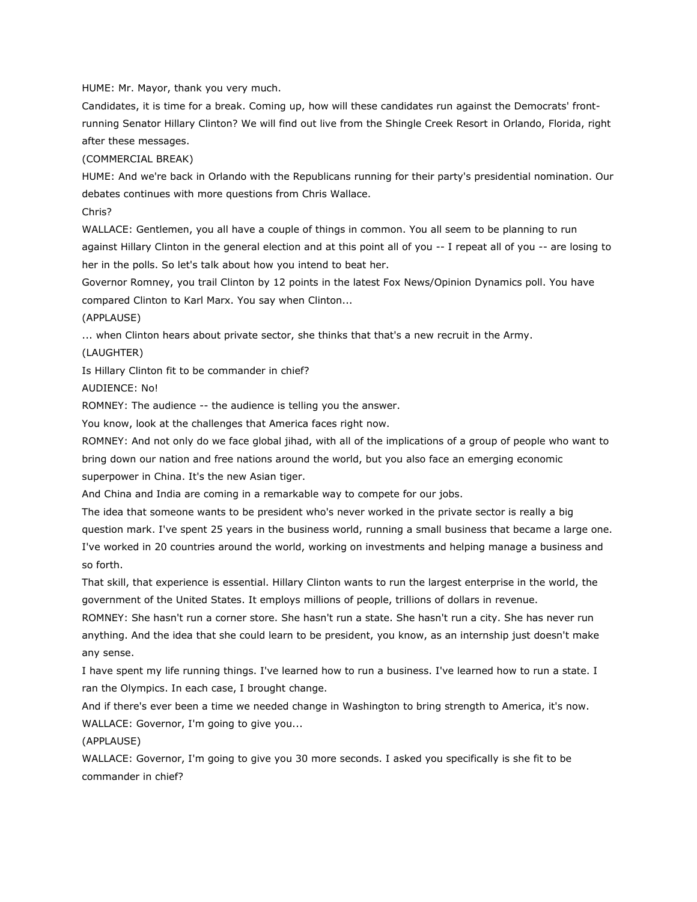HUME: Mr. Mayor, thank you very much.

Candidates, it is time for a break. Coming up, how will these candidates run against the Democrats' frontrunning Senator Hillary Clinton? We will find out live from the Shingle Creek Resort in Orlando, Florida, right after these messages.

(COMMERCIAL BREAK)

HUME: And we're back in Orlando with the Republicans running for their party's presidential nomination. Our debates continues with more questions from Chris Wallace.

Chris?

WALLACE: Gentlemen, you all have a couple of things in common. You all seem to be planning to run against Hillary Clinton in the general election and at this point all of you -- I repeat all of you -- are losing to her in the polls. So let's talk about how you intend to beat her.

Governor Romney, you trail Clinton by 12 points in the latest Fox News/Opinion Dynamics poll. You have compared Clinton to Karl Marx. You say when Clinton...

(APPLAUSE)

... when Clinton hears about private sector, she thinks that that's a new recruit in the Army.

(LAUGHTER)

Is Hillary Clinton fit to be commander in chief?

AUDIENCE: No!

ROMNEY: The audience -- the audience is telling you the answer.

You know, look at the challenges that America faces right now.

ROMNEY: And not only do we face global jihad, with all of the implications of a group of people who want to bring down our nation and free nations around the world, but you also face an emerging economic superpower in China. It's the new Asian tiger.

And China and India are coming in a remarkable way to compete for our jobs.

The idea that someone wants to be president who's never worked in the private sector is really a big question mark. I've spent 25 years in the business world, running a small business that became a large one. I've worked in 20 countries around the world, working on investments and helping manage a business and so forth.

That skill, that experience is essential. Hillary Clinton wants to run the largest enterprise in the world, the government of the United States. It employs millions of people, trillions of dollars in revenue.

ROMNEY: She hasn't run a corner store. She hasn't run a state. She hasn't run a city. She has never run anything. And the idea that she could learn to be president, you know, as an internship just doesn't make any sense.

I have spent my life running things. I've learned how to run a business. I've learned how to run a state. I ran the Olympics. In each case, I brought change.

And if there's ever been a time we needed change in Washington to bring strength to America, it's now. WALLACE: Governor, I'm going to give you...

(APPLAUSE)

WALLACE: Governor, I'm going to give you 30 more seconds. I asked you specifically is she fit to be commander in chief?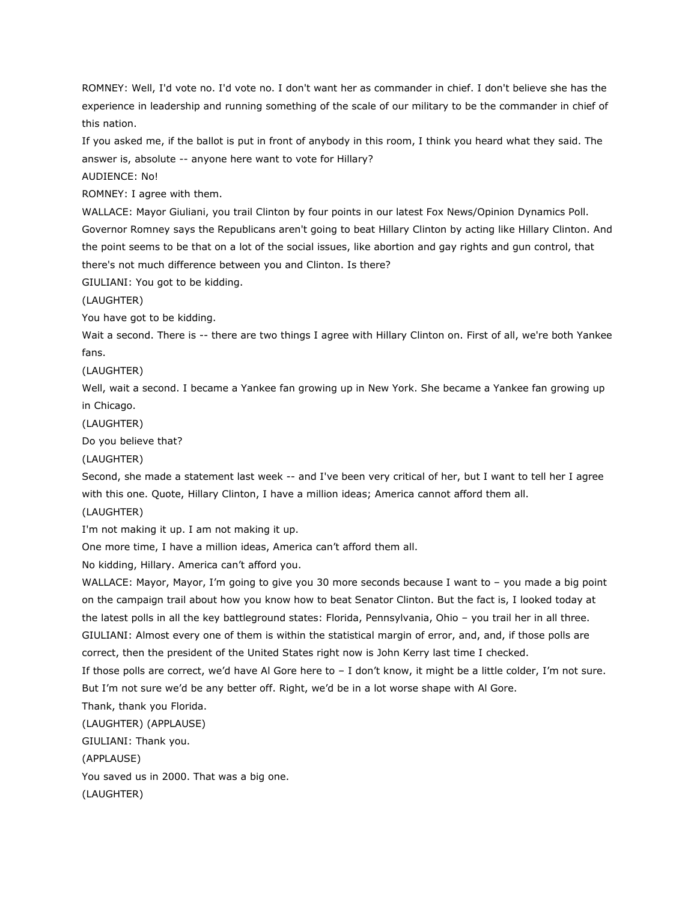ROMNEY: Well, I'd vote no. I'd vote no. I don't want her as commander in chief. I don't believe she has the experience in leadership and running something of the scale of our military to be the commander in chief of this nation.

If you asked me, if the ballot is put in front of anybody in this room, I think you heard what they said. The answer is, absolute -- anyone here want to vote for Hillary?

AUDIENCE: No!

ROMNEY: I agree with them.

WALLACE: Mayor Giuliani, you trail Clinton by four points in our latest Fox News/Opinion Dynamics Poll. Governor Romney says the Republicans aren't going to beat Hillary Clinton by acting like Hillary Clinton. And the point seems to be that on a lot of the social issues, like abortion and gay rights and gun control, that there's not much difference between you and Clinton. Is there?

GIULIANI: You got to be kidding.

#### (LAUGHTER)

You have got to be kidding.

Wait a second. There is -- there are two things I agree with Hillary Clinton on. First of all, we're both Yankee fans.

## (LAUGHTER)

Well, wait a second. I became a Yankee fan growing up in New York. She became a Yankee fan growing up in Chicago.

#### (LAUGHTER)

Do you believe that?

(LAUGHTER)

Second, she made a statement last week -- and I've been very critical of her, but I want to tell her I agree with this one. Quote, Hillary Clinton, I have a million ideas; America cannot afford them all.

## (LAUGHTER)

I'm not making it up. I am not making it up.

One more time, I have a million ideas, America can't afford them all.

No kidding, Hillary. America can't afford you.

WALLACE: Mayor, Mayor, I'm going to give you 30 more seconds because I want to - you made a big point on the campaign trail about how you know how to beat Senator Clinton. But the fact is, I looked today at the latest polls in all the key battleground states: Florida, Pennsylvania, Ohio – you trail her in all three. GIULIANI: Almost every one of them is within the statistical margin of error, and, and, if those polls are correct, then the president of the United States right now is John Kerry last time I checked.

If those polls are correct, we'd have Al Gore here to – I don't know, it might be a little colder, I'm not sure. But I'm not sure we'd be any better off. Right, we'd be in a lot worse shape with Al Gore.

Thank, thank you Florida.

(LAUGHTER) (APPLAUSE)

GIULIANI: Thank you.

(APPLAUSE)

You saved us in 2000. That was a big one.

(LAUGHTER)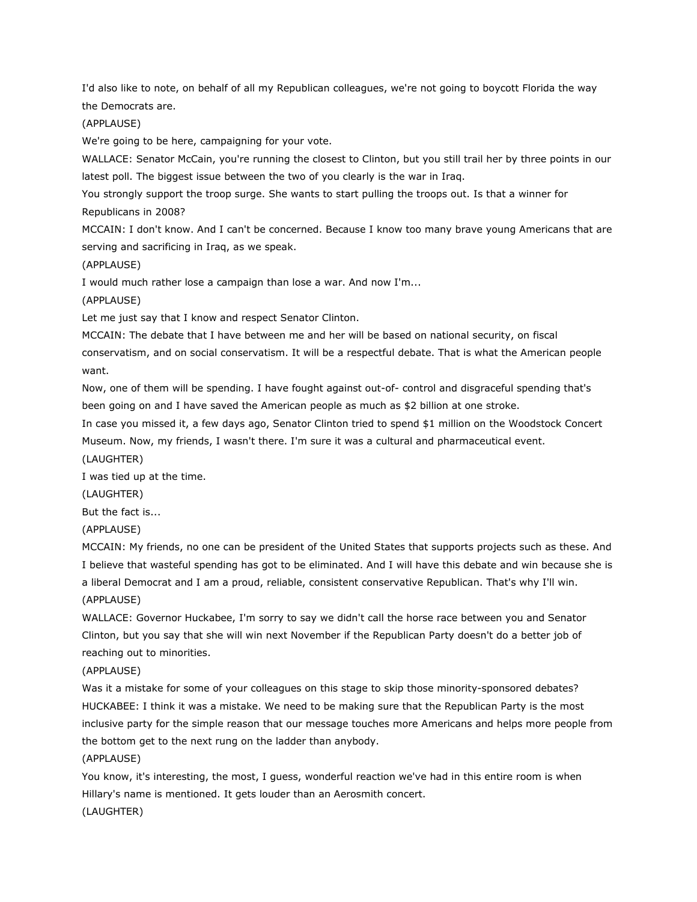I'd also like to note, on behalf of all my Republican colleagues, we're not going to boycott Florida the way the Democrats are.

(APPLAUSE)

We're going to be here, campaigning for your vote.

WALLACE: Senator McCain, you're running the closest to Clinton, but you still trail her by three points in our latest poll. The biggest issue between the two of you clearly is the war in Iraq.

You strongly support the troop surge. She wants to start pulling the troops out. Is that a winner for Republicans in 2008?

MCCAIN: I don't know. And I can't be concerned. Because I know too many brave young Americans that are serving and sacrificing in Iraq, as we speak.

(APPLAUSE)

I would much rather lose a campaign than lose a war. And now I'm...

(APPLAUSE)

Let me just say that I know and respect Senator Clinton.

MCCAIN: The debate that I have between me and her will be based on national security, on fiscal conservatism, and on social conservatism. It will be a respectful debate. That is what the American people want.

Now, one of them will be spending. I have fought against out-of- control and disgraceful spending that's been going on and I have saved the American people as much as \$2 billion at one stroke.

In case you missed it, a few days ago, Senator Clinton tried to spend \$1 million on the Woodstock Concert Museum. Now, my friends, I wasn't there. I'm sure it was a cultural and pharmaceutical event.

(LAUGHTER)

I was tied up at the time.

(LAUGHTER)

But the fact is...

(APPLAUSE)

MCCAIN: My friends, no one can be president of the United States that supports projects such as these. And I believe that wasteful spending has got to be eliminated. And I will have this debate and win because she is a liberal Democrat and I am a proud, reliable, consistent conservative Republican. That's why I'll win. (APPLAUSE)

WALLACE: Governor Huckabee, I'm sorry to say we didn't call the horse race between you and Senator Clinton, but you say that she will win next November if the Republican Party doesn't do a better job of reaching out to minorities.

## (APPLAUSE)

Was it a mistake for some of your colleagues on this stage to skip those minority-sponsored debates? HUCKABEE: I think it was a mistake. We need to be making sure that the Republican Party is the most inclusive party for the simple reason that our message touches more Americans and helps more people from the bottom get to the next rung on the ladder than anybody.

#### (APPLAUSE)

You know, it's interesting, the most, I guess, wonderful reaction we've had in this entire room is when Hillary's name is mentioned. It gets louder than an Aerosmith concert.

(LAUGHTER)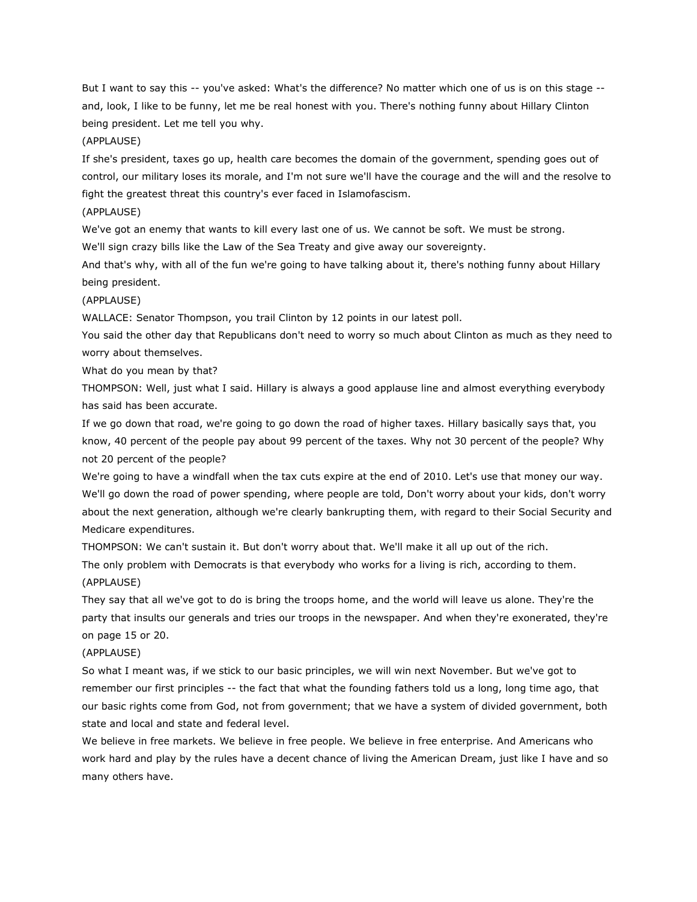But I want to say this -- you've asked: What's the difference? No matter which one of us is on this stage - and, look, I like to be funny, let me be real honest with you. There's nothing funny about Hillary Clinton being president. Let me tell you why.

#### (APPLAUSE)

If she's president, taxes go up, health care becomes the domain of the government, spending goes out of control, our military loses its morale, and I'm not sure we'll have the courage and the will and the resolve to fight the greatest threat this country's ever faced in Islamofascism.

## (APPLAUSE)

We've got an enemy that wants to kill every last one of us. We cannot be soft. We must be strong. We'll sign crazy bills like the Law of the Sea Treaty and give away our sovereignty.

And that's why, with all of the fun we're going to have talking about it, there's nothing funny about Hillary being president.

### (APPLAUSE)

WALLACE: Senator Thompson, you trail Clinton by 12 points in our latest poll.

You said the other day that Republicans don't need to worry so much about Clinton as much as they need to worry about themselves.

What do you mean by that?

THOMPSON: Well, just what I said. Hillary is always a good applause line and almost everything everybody has said has been accurate.

If we go down that road, we're going to go down the road of higher taxes. Hillary basically says that, you know, 40 percent of the people pay about 99 percent of the taxes. Why not 30 percent of the people? Why not 20 percent of the people?

We're going to have a windfall when the tax cuts expire at the end of 2010. Let's use that money our way. We'll go down the road of power spending, where people are told, Don't worry about your kids, don't worry about the next generation, although we're clearly bankrupting them, with regard to their Social Security and Medicare expenditures.

THOMPSON: We can't sustain it. But don't worry about that. We'll make it all up out of the rich. The only problem with Democrats is that everybody who works for a living is rich, according to them. (APPLAUSE)

They say that all we've got to do is bring the troops home, and the world will leave us alone. They're the party that insults our generals and tries our troops in the newspaper. And when they're exonerated, they're on page 15 or 20.

## (APPLAUSE)

So what I meant was, if we stick to our basic principles, we will win next November. But we've got to remember our first principles -- the fact that what the founding fathers told us a long, long time ago, that our basic rights come from God, not from government; that we have a system of divided government, both state and local and state and federal level.

We believe in free markets. We believe in free people. We believe in free enterprise. And Americans who work hard and play by the rules have a decent chance of living the American Dream, just like I have and so many others have.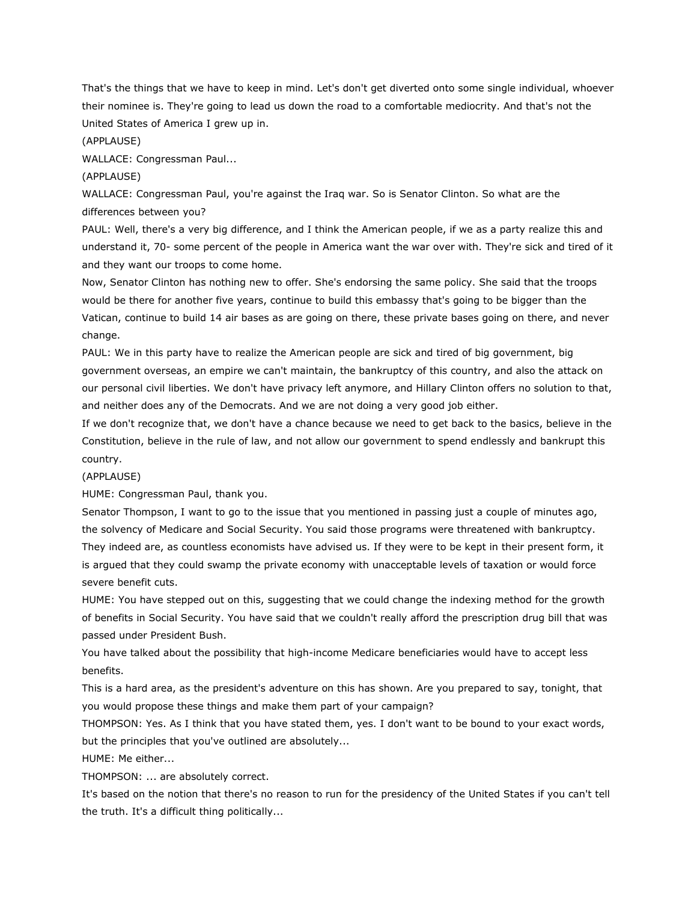That's the things that we have to keep in mind. Let's don't get diverted onto some single individual, whoever their nominee is. They're going to lead us down the road to a comfortable mediocrity. And that's not the United States of America I grew up in.

(APPLAUSE)

WALLACE: Congressman Paul...

#### (APPLAUSE)

WALLACE: Congressman Paul, you're against the Iraq war. So is Senator Clinton. So what are the differences between you?

PAUL: Well, there's a very big difference, and I think the American people, if we as a party realize this and understand it, 70- some percent of the people in America want the war over with. They're sick and tired of it and they want our troops to come home.

Now, Senator Clinton has nothing new to offer. She's endorsing the same policy. She said that the troops would be there for another five years, continue to build this embassy that's going to be bigger than the Vatican, continue to build 14 air bases as are going on there, these private bases going on there, and never change.

PAUL: We in this party have to realize the American people are sick and tired of big government, big government overseas, an empire we can't maintain, the bankruptcy of this country, and also the attack on our personal civil liberties. We don't have privacy left anymore, and Hillary Clinton offers no solution to that, and neither does any of the Democrats. And we are not doing a very good job either.

If we don't recognize that, we don't have a chance because we need to get back to the basics, believe in the Constitution, believe in the rule of law, and not allow our government to spend endlessly and bankrupt this country.

## (APPLAUSE)

HUME: Congressman Paul, thank you.

Senator Thompson, I want to go to the issue that you mentioned in passing just a couple of minutes ago, the solvency of Medicare and Social Security. You said those programs were threatened with bankruptcy. They indeed are, as countless economists have advised us. If they were to be kept in their present form, it is argued that they could swamp the private economy with unacceptable levels of taxation or would force severe benefit cuts.

HUME: You have stepped out on this, suggesting that we could change the indexing method for the growth of benefits in Social Security. You have said that we couldn't really afford the prescription drug bill that was passed under President Bush.

You have talked about the possibility that high-income Medicare beneficiaries would have to accept less benefits.

This is a hard area, as the president's adventure on this has shown. Are you prepared to say, tonight, that you would propose these things and make them part of your campaign?

THOMPSON: Yes. As I think that you have stated them, yes. I don't want to be bound to your exact words, but the principles that you've outlined are absolutely...

HUME: Me either...

THOMPSON: ... are absolutely correct.

It's based on the notion that there's no reason to run for the presidency of the United States if you can't tell the truth. It's a difficult thing politically...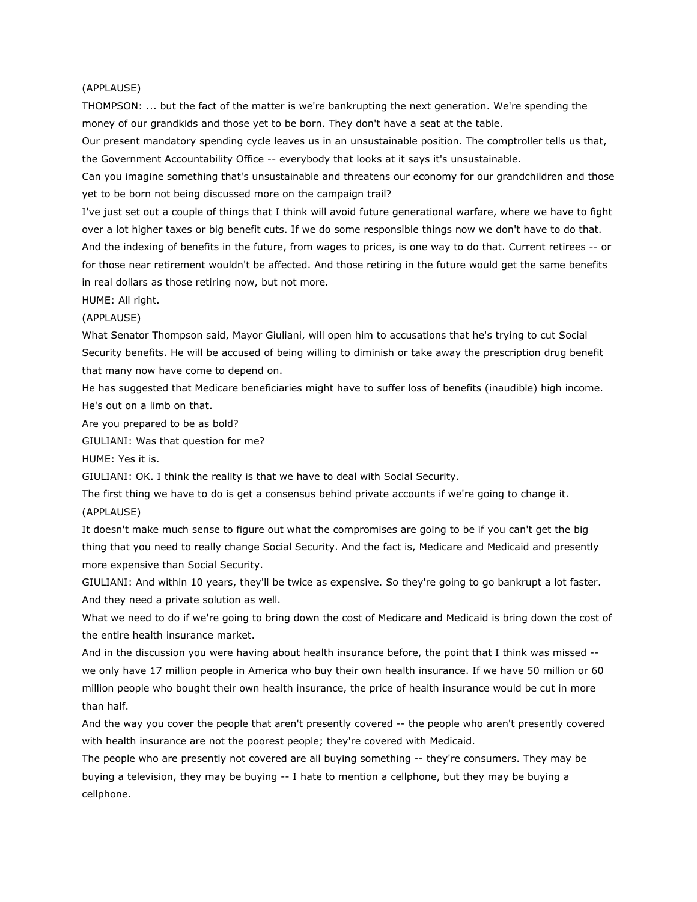## (APPLAUSE)

THOMPSON: ... but the fact of the matter is we're bankrupting the next generation. We're spending the money of our grandkids and those yet to be born. They don't have a seat at the table.

Our present mandatory spending cycle leaves us in an unsustainable position. The comptroller tells us that, the Government Accountability Office -- everybody that looks at it says it's unsustainable.

Can you imagine something that's unsustainable and threatens our economy for our grandchildren and those yet to be born not being discussed more on the campaign trail?

I've just set out a couple of things that I think will avoid future generational warfare, where we have to fight over a lot higher taxes or big benefit cuts. If we do some responsible things now we don't have to do that. And the indexing of benefits in the future, from wages to prices, is one way to do that. Current retirees -- or for those near retirement wouldn't be affected. And those retiring in the future would get the same benefits in real dollars as those retiring now, but not more.

HUME: All right.

(APPLAUSE)

What Senator Thompson said, Mayor Giuliani, will open him to accusations that he's trying to cut Social Security benefits. He will be accused of being willing to diminish or take away the prescription drug benefit that many now have come to depend on.

He has suggested that Medicare beneficiaries might have to suffer loss of benefits (inaudible) high income. He's out on a limb on that.

Are you prepared to be as bold?

GIULIANI: Was that question for me?

HUME: Yes it is.

GIULIANI: OK. I think the reality is that we have to deal with Social Security.

The first thing we have to do is get a consensus behind private accounts if we're going to change it. (APPLAUSE)

It doesn't make much sense to figure out what the compromises are going to be if you can't get the big thing that you need to really change Social Security. And the fact is, Medicare and Medicaid and presently more expensive than Social Security.

GIULIANI: And within 10 years, they'll be twice as expensive. So they're going to go bankrupt a lot faster. And they need a private solution as well.

What we need to do if we're going to bring down the cost of Medicare and Medicaid is bring down the cost of the entire health insurance market.

And in the discussion you were having about health insurance before, the point that I think was missed -we only have 17 million people in America who buy their own health insurance. If we have 50 million or 60 million people who bought their own health insurance, the price of health insurance would be cut in more than half.

And the way you cover the people that aren't presently covered -- the people who aren't presently covered with health insurance are not the poorest people; they're covered with Medicaid.

The people who are presently not covered are all buying something -- they're consumers. They may be buying a television, they may be buying -- I hate to mention a cellphone, but they may be buying a cellphone.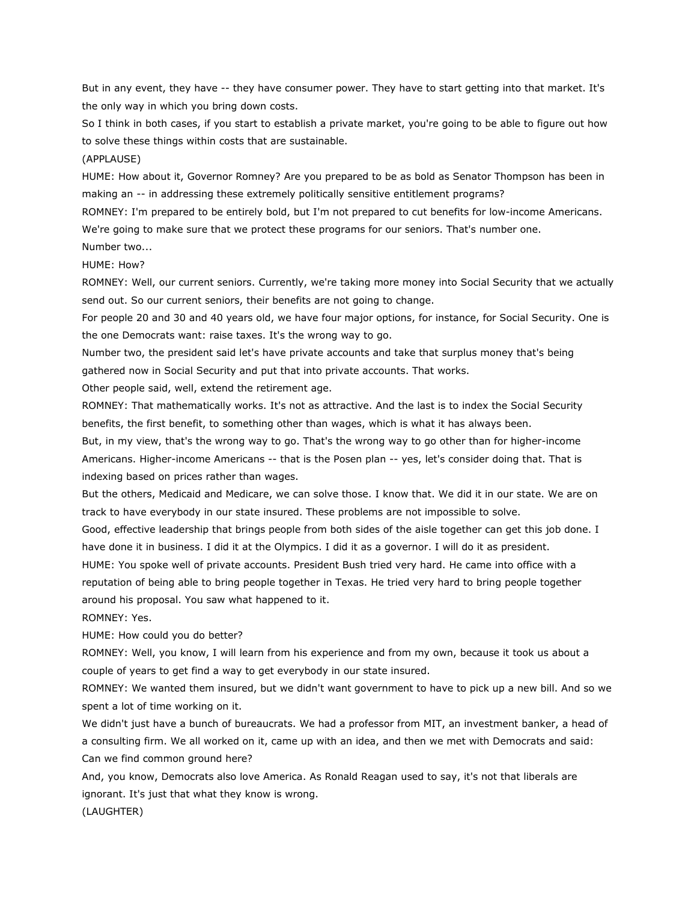But in any event, they have -- they have consumer power. They have to start getting into that market. It's the only way in which you bring down costs.

So I think in both cases, if you start to establish a private market, you're going to be able to figure out how to solve these things within costs that are sustainable.

(APPLAUSE)

HUME: How about it, Governor Romney? Are you prepared to be as bold as Senator Thompson has been in making an -- in addressing these extremely politically sensitive entitlement programs?

ROMNEY: I'm prepared to be entirely bold, but I'm not prepared to cut benefits for low-income Americans. We're going to make sure that we protect these programs for our seniors. That's number one.

Number two...

HUME: How?

ROMNEY: Well, our current seniors. Currently, we're taking more money into Social Security that we actually send out. So our current seniors, their benefits are not going to change.

For people 20 and 30 and 40 years old, we have four major options, for instance, for Social Security. One is the one Democrats want: raise taxes. It's the wrong way to go.

Number two, the president said let's have private accounts and take that surplus money that's being gathered now in Social Security and put that into private accounts. That works.

Other people said, well, extend the retirement age.

ROMNEY: That mathematically works. It's not as attractive. And the last is to index the Social Security benefits, the first benefit, to something other than wages, which is what it has always been.

But, in my view, that's the wrong way to go. That's the wrong way to go other than for higher-income Americans. Higher-income Americans -- that is the Posen plan -- yes, let's consider doing that. That is indexing based on prices rather than wages.

But the others, Medicaid and Medicare, we can solve those. I know that. We did it in our state. We are on track to have everybody in our state insured. These problems are not impossible to solve.

Good, effective leadership that brings people from both sides of the aisle together can get this job done. I have done it in business. I did it at the Olympics. I did it as a governor. I will do it as president.

HUME: You spoke well of private accounts. President Bush tried very hard. He came into office with a reputation of being able to bring people together in Texas. He tried very hard to bring people together around his proposal. You saw what happened to it.

ROMNEY: Yes.

HUME: How could you do better?

ROMNEY: Well, you know, I will learn from his experience and from my own, because it took us about a couple of years to get find a way to get everybody in our state insured.

ROMNEY: We wanted them insured, but we didn't want government to have to pick up a new bill. And so we spent a lot of time working on it.

We didn't just have a bunch of bureaucrats. We had a professor from MIT, an investment banker, a head of a consulting firm. We all worked on it, came up with an idea, and then we met with Democrats and said: Can we find common ground here?

And, you know, Democrats also love America. As Ronald Reagan used to say, it's not that liberals are ignorant. It's just that what they know is wrong.

(LAUGHTER)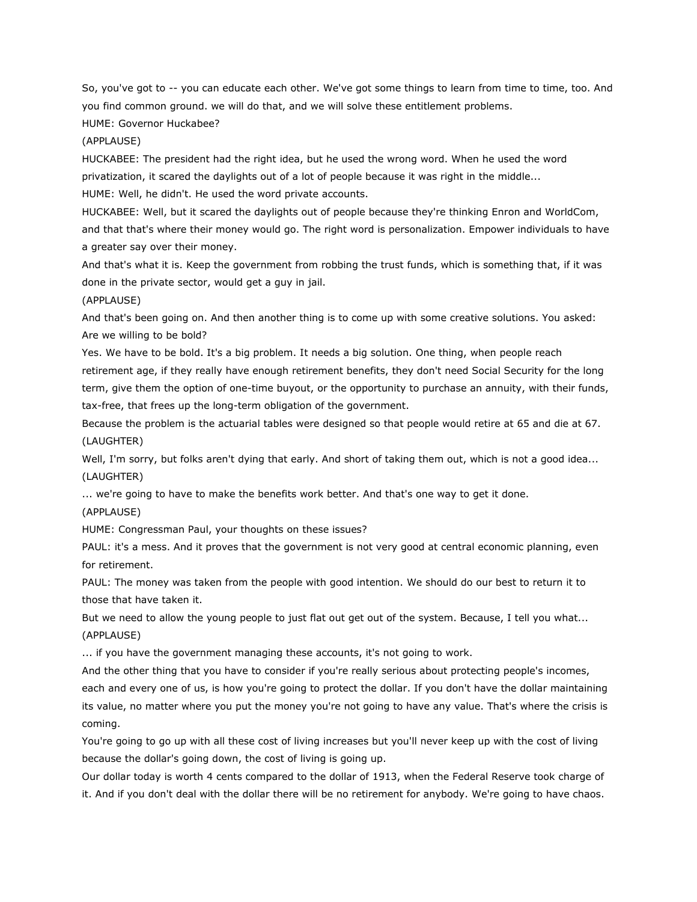So, you've got to -- you can educate each other. We've got some things to learn from time to time, too. And you find common ground. we will do that, and we will solve these entitlement problems.

HUME: Governor Huckabee?

## (APPLAUSE)

HUCKABEE: The president had the right idea, but he used the wrong word. When he used the word privatization, it scared the daylights out of a lot of people because it was right in the middle... HUME: Well, he didn't. He used the word private accounts.

HUCKABEE: Well, but it scared the daylights out of people because they're thinking Enron and WorldCom, and that that's where their money would go. The right word is personalization. Empower individuals to have a greater say over their money.

And that's what it is. Keep the government from robbing the trust funds, which is something that, if it was done in the private sector, would get a guy in jail.

#### (APPLAUSE)

And that's been going on. And then another thing is to come up with some creative solutions. You asked: Are we willing to be bold?

Yes. We have to be bold. It's a big problem. It needs a big solution. One thing, when people reach retirement age, if they really have enough retirement benefits, they don't need Social Security for the long term, give them the option of one-time buyout, or the opportunity to purchase an annuity, with their funds, tax-free, that frees up the long-term obligation of the government.

Because the problem is the actuarial tables were designed so that people would retire at 65 and die at 67. (LAUGHTER)

Well, I'm sorry, but folks aren't dying that early. And short of taking them out, which is not a good idea... (LAUGHTER)

... we're going to have to make the benefits work better. And that's one way to get it done.

(APPLAUSE)

HUME: Congressman Paul, your thoughts on these issues?

PAUL: it's a mess. And it proves that the government is not very good at central economic planning, even for retirement.

PAUL: The money was taken from the people with good intention. We should do our best to return it to those that have taken it.

But we need to allow the young people to just flat out get out of the system. Because, I tell you what... (APPLAUSE)

... if you have the government managing these accounts, it's not going to work.

And the other thing that you have to consider if you're really serious about protecting people's incomes, each and every one of us, is how you're going to protect the dollar. If you don't have the dollar maintaining its value, no matter where you put the money you're not going to have any value. That's where the crisis is coming.

You're going to go up with all these cost of living increases but you'll never keep up with the cost of living because the dollar's going down, the cost of living is going up.

Our dollar today is worth 4 cents compared to the dollar of 1913, when the Federal Reserve took charge of it. And if you don't deal with the dollar there will be no retirement for anybody. We're going to have chaos.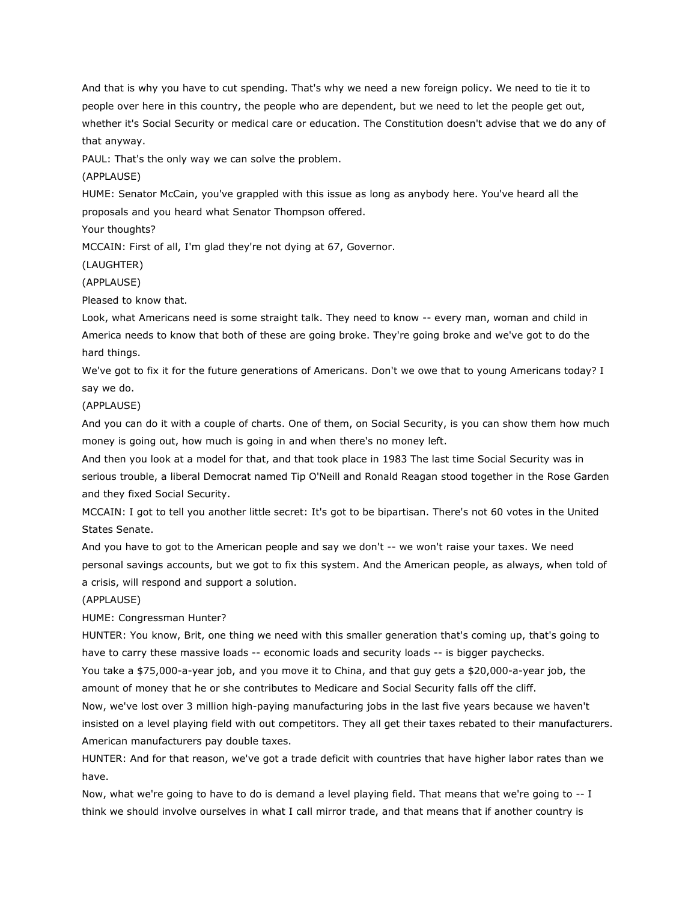And that is why you have to cut spending. That's why we need a new foreign policy. We need to tie it to people over here in this country, the people who are dependent, but we need to let the people get out, whether it's Social Security or medical care or education. The Constitution doesn't advise that we do any of that anyway.

PAUL: That's the only way we can solve the problem.

(APPLAUSE)

HUME: Senator McCain, you've grappled with this issue as long as anybody here. You've heard all the proposals and you heard what Senator Thompson offered.

Your thoughts?

MCCAIN: First of all, I'm glad they're not dying at 67, Governor.

(LAUGHTER)

(APPLAUSE)

Pleased to know that.

Look, what Americans need is some straight talk. They need to know -- every man, woman and child in America needs to know that both of these are going broke. They're going broke and we've got to do the hard things.

We've got to fix it for the future generations of Americans. Don't we owe that to young Americans today? I say we do.

(APPLAUSE)

And you can do it with a couple of charts. One of them, on Social Security, is you can show them how much money is going out, how much is going in and when there's no money left.

And then you look at a model for that, and that took place in 1983 The last time Social Security was in serious trouble, a liberal Democrat named Tip O'Neill and Ronald Reagan stood together in the Rose Garden and they fixed Social Security.

MCCAIN: I got to tell you another little secret: It's got to be bipartisan. There's not 60 votes in the United States Senate.

And you have to got to the American people and say we don't -- we won't raise your taxes. We need personal savings accounts, but we got to fix this system. And the American people, as always, when told of a crisis, will respond and support a solution.

(APPLAUSE)

HUME: Congressman Hunter?

HUNTER: You know, Brit, one thing we need with this smaller generation that's coming up, that's going to have to carry these massive loads -- economic loads and security loads -- is bigger paychecks.

You take a \$75,000-a-year job, and you move it to China, and that guy gets a \$20,000-a-year job, the amount of money that he or she contributes to Medicare and Social Security falls off the cliff.

Now, we've lost over 3 million high-paying manufacturing jobs in the last five years because we haven't insisted on a level playing field with out competitors. They all get their taxes rebated to their manufacturers. American manufacturers pay double taxes.

HUNTER: And for that reason, we've got a trade deficit with countries that have higher labor rates than we have.

Now, what we're going to have to do is demand a level playing field. That means that we're going to -- I think we should involve ourselves in what I call mirror trade, and that means that if another country is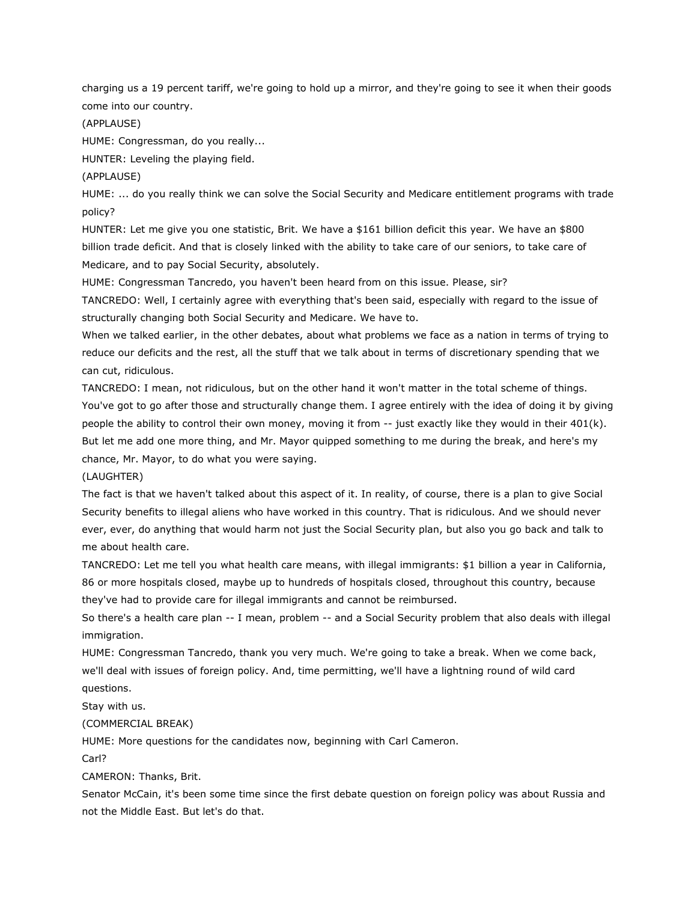charging us a 19 percent tariff, we're going to hold up a mirror, and they're going to see it when their goods come into our country.

(APPLAUSE)

HUME: Congressman, do you really...

HUNTER: Leveling the playing field.

(APPLAUSE)

HUME: ... do you really think we can solve the Social Security and Medicare entitlement programs with trade policy?

HUNTER: Let me give you one statistic, Brit. We have a \$161 billion deficit this year. We have an \$800 billion trade deficit. And that is closely linked with the ability to take care of our seniors, to take care of Medicare, and to pay Social Security, absolutely.

HUME: Congressman Tancredo, you haven't been heard from on this issue. Please, sir?

TANCREDO: Well, I certainly agree with everything that's been said, especially with regard to the issue of structurally changing both Social Security and Medicare. We have to.

When we talked earlier, in the other debates, about what problems we face as a nation in terms of trying to reduce our deficits and the rest, all the stuff that we talk about in terms of discretionary spending that we can cut, ridiculous.

TANCREDO: I mean, not ridiculous, but on the other hand it won't matter in the total scheme of things. You've got to go after those and structurally change them. I agree entirely with the idea of doing it by giving people the ability to control their own money, moving it from -- just exactly like they would in their 401(k). But let me add one more thing, and Mr. Mayor quipped something to me during the break, and here's my chance, Mr. Mayor, to do what you were saying.

(LAUGHTER)

The fact is that we haven't talked about this aspect of it. In reality, of course, there is a plan to give Social Security benefits to illegal aliens who have worked in this country. That is ridiculous. And we should never ever, ever, do anything that would harm not just the Social Security plan, but also you go back and talk to me about health care.

TANCREDO: Let me tell you what health care means, with illegal immigrants: \$1 billion a year in California, 86 or more hospitals closed, maybe up to hundreds of hospitals closed, throughout this country, because they've had to provide care for illegal immigrants and cannot be reimbursed.

So there's a health care plan -- I mean, problem -- and a Social Security problem that also deals with illegal immigration.

HUME: Congressman Tancredo, thank you very much. We're going to take a break. When we come back, we'll deal with issues of foreign policy. And, time permitting, we'll have a lightning round of wild card questions.

Stay with us.

(COMMERCIAL BREAK)

HUME: More questions for the candidates now, beginning with Carl Cameron.

Carl?

CAMERON: Thanks, Brit.

Senator McCain, it's been some time since the first debate question on foreign policy was about Russia and not the Middle East. But let's do that.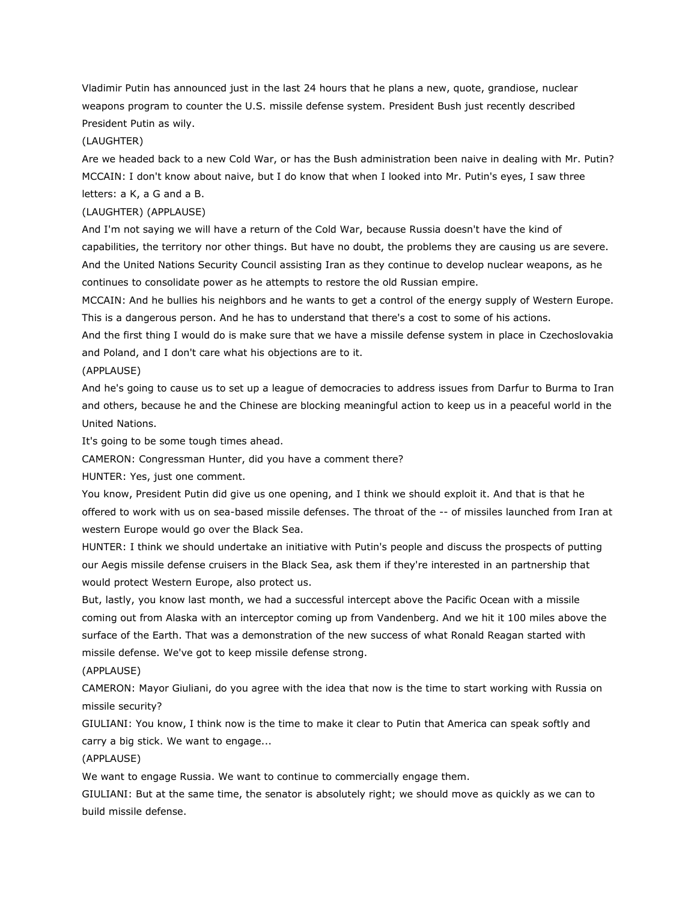Vladimir Putin has announced just in the last 24 hours that he plans a new, quote, grandiose, nuclear weapons program to counter the U.S. missile defense system. President Bush just recently described President Putin as wily.

#### (LAUGHTER)

Are we headed back to a new Cold War, or has the Bush administration been naive in dealing with Mr. Putin? MCCAIN: I don't know about naive, but I do know that when I looked into Mr. Putin's eyes, I saw three letters: a K, a G and a B.

#### (LAUGHTER) (APPLAUSE)

And I'm not saying we will have a return of the Cold War, because Russia doesn't have the kind of capabilities, the territory nor other things. But have no doubt, the problems they are causing us are severe. And the United Nations Security Council assisting Iran as they continue to develop nuclear weapons, as he continues to consolidate power as he attempts to restore the old Russian empire.

MCCAIN: And he bullies his neighbors and he wants to get a control of the energy supply of Western Europe. This is a dangerous person. And he has to understand that there's a cost to some of his actions.

And the first thing I would do is make sure that we have a missile defense system in place in Czechoslovakia and Poland, and I don't care what his objections are to it.

## (APPLAUSE)

And he's going to cause us to set up a league of democracies to address issues from Darfur to Burma to Iran and others, because he and the Chinese are blocking meaningful action to keep us in a peaceful world in the United Nations.

It's going to be some tough times ahead.

CAMERON: Congressman Hunter, did you have a comment there?

HUNTER: Yes, just one comment.

You know, President Putin did give us one opening, and I think we should exploit it. And that is that he offered to work with us on sea-based missile defenses. The throat of the -- of missiles launched from Iran at western Europe would go over the Black Sea.

HUNTER: I think we should undertake an initiative with Putin's people and discuss the prospects of putting our Aegis missile defense cruisers in the Black Sea, ask them if they're interested in an partnership that would protect Western Europe, also protect us.

But, lastly, you know last month, we had a successful intercept above the Pacific Ocean with a missile coming out from Alaska with an interceptor coming up from Vandenberg. And we hit it 100 miles above the surface of the Earth. That was a demonstration of the new success of what Ronald Reagan started with missile defense. We've got to keep missile defense strong.

#### (APPLAUSE)

CAMERON: Mayor Giuliani, do you agree with the idea that now is the time to start working with Russia on missile security?

GIULIANI: You know, I think now is the time to make it clear to Putin that America can speak softly and carry a big stick. We want to engage...

## (APPLAUSE)

We want to engage Russia. We want to continue to commercially engage them.

GIULIANI: But at the same time, the senator is absolutely right; we should move as quickly as we can to build missile defense.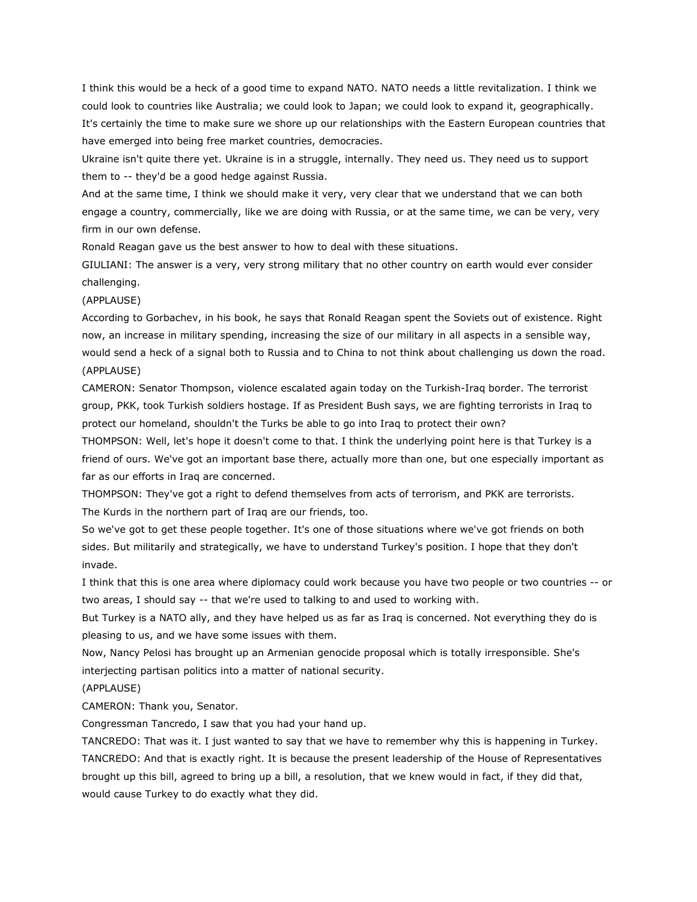I think this would be a heck of a good time to expand NATO. NATO needs a little revitalization. I think we could look to countries like Australia; we could look to Japan; we could look to expand it, geographically. It's certainly the time to make sure we shore up our relationships with the Eastern European countries that have emerged into being free market countries, democracies.

Ukraine isn't quite there yet. Ukraine is in a struggle, internally. They need us. They need us to support them to -- they'd be a good hedge against Russia.

And at the same time, I think we should make it very, very clear that we understand that we can both engage a country, commercially, like we are doing with Russia, or at the same time, we can be very, very firm in our own defense.

Ronald Reagan gave us the best answer to how to deal with these situations.

GIULIANI: The answer is a very, very strong military that no other country on earth would ever consider challenging.

#### (APPLAUSE)

According to Gorbachev, in his book, he says that Ronald Reagan spent the Soviets out of existence. Right now, an increase in military spending, increasing the size of our military in all aspects in a sensible way, would send a heck of a signal both to Russia and to China to not think about challenging us down the road. (APPLAUSE)

CAMERON: Senator Thompson, violence escalated again today on the Turkish-Iraq border. The terrorist group, PKK, took Turkish soldiers hostage. If as President Bush says, we are fighting terrorists in Iraq to protect our homeland, shouldn't the Turks be able to go into Iraq to protect their own?

THOMPSON: Well, let's hope it doesn't come to that. I think the underlying point here is that Turkey is a friend of ours. We've got an important base there, actually more than one, but one especially important as far as our efforts in Iraq are concerned.

THOMPSON: They've got a right to defend themselves from acts of terrorism, and PKK are terrorists. The Kurds in the northern part of Iraq are our friends, too.

So we've got to get these people together. It's one of those situations where we've got friends on both sides. But militarily and strategically, we have to understand Turkey's position. I hope that they don't invade.

I think that this is one area where diplomacy could work because you have two people or two countries -- or two areas, I should say -- that we're used to talking to and used to working with.

But Turkey is a NATO ally, and they have helped us as far as Iraq is concerned. Not everything they do is pleasing to us, and we have some issues with them.

Now, Nancy Pelosi has brought up an Armenian genocide proposal which is totally irresponsible. She's interjecting partisan politics into a matter of national security.

### (APPLAUSE)

CAMERON: Thank you, Senator.

Congressman Tancredo, I saw that you had your hand up.

TANCREDO: That was it. I just wanted to say that we have to remember why this is happening in Turkey. TANCREDO: And that is exactly right. It is because the present leadership of the House of Representatives brought up this bill, agreed to bring up a bill, a resolution, that we knew would in fact, if they did that, would cause Turkey to do exactly what they did.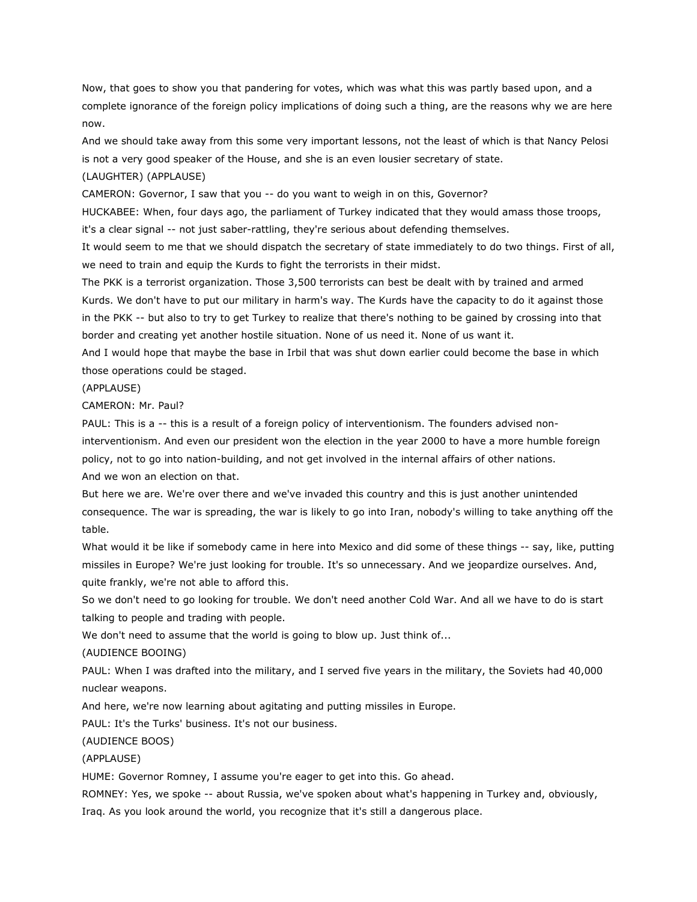Now, that goes to show you that pandering for votes, which was what this was partly based upon, and a complete ignorance of the foreign policy implications of doing such a thing, are the reasons why we are here now.

And we should take away from this some very important lessons, not the least of which is that Nancy Pelosi is not a very good speaker of the House, and she is an even lousier secretary of state.

#### (LAUGHTER) (APPLAUSE)

CAMERON: Governor, I saw that you -- do you want to weigh in on this, Governor?

HUCKABEE: When, four days ago, the parliament of Turkey indicated that they would amass those troops, it's a clear signal -- not just saber-rattling, they're serious about defending themselves.

It would seem to me that we should dispatch the secretary of state immediately to do two things. First of all, we need to train and equip the Kurds to fight the terrorists in their midst.

The PKK is a terrorist organization. Those 3,500 terrorists can best be dealt with by trained and armed Kurds. We don't have to put our military in harm's way. The Kurds have the capacity to do it against those in the PKK -- but also to try to get Turkey to realize that there's nothing to be gained by crossing into that border and creating yet another hostile situation. None of us need it. None of us want it.

And I would hope that maybe the base in Irbil that was shut down earlier could become the base in which those operations could be staged.

#### (APPLAUSE)

CAMERON: Mr. Paul?

PAUL: This is a -- this is a result of a foreign policy of interventionism. The founders advised noninterventionism. And even our president won the election in the year 2000 to have a more humble foreign policy, not to go into nation-building, and not get involved in the internal affairs of other nations. And we won an election on that.

But here we are. We're over there and we've invaded this country and this is just another unintended consequence. The war is spreading, the war is likely to go into Iran, nobody's willing to take anything off the table.

What would it be like if somebody came in here into Mexico and did some of these things -- say, like, putting missiles in Europe? We're just looking for trouble. It's so unnecessary. And we jeopardize ourselves. And, quite frankly, we're not able to afford this.

So we don't need to go looking for trouble. We don't need another Cold War. And all we have to do is start talking to people and trading with people.

We don't need to assume that the world is going to blow up. Just think of...

(AUDIENCE BOOING)

PAUL: When I was drafted into the military, and I served five years in the military, the Soviets had 40,000 nuclear weapons.

And here, we're now learning about agitating and putting missiles in Europe.

PAUL: It's the Turks' business. It's not our business.

(AUDIENCE BOOS)

(APPLAUSE)

HUME: Governor Romney, I assume you're eager to get into this. Go ahead.

ROMNEY: Yes, we spoke -- about Russia, we've spoken about what's happening in Turkey and, obviously, Iraq. As you look around the world, you recognize that it's still a dangerous place.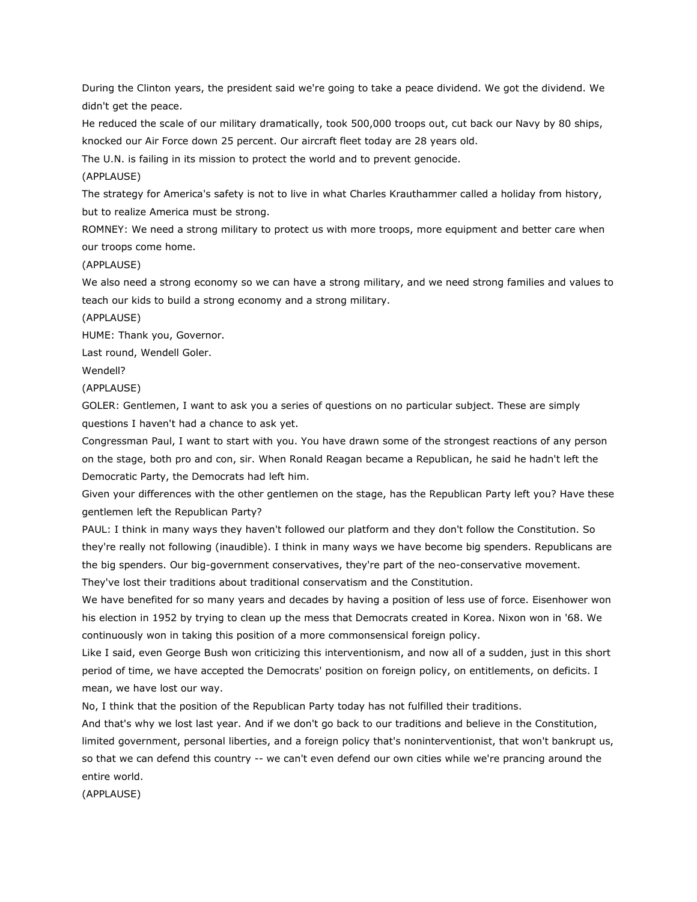During the Clinton years, the president said we're going to take a peace dividend. We got the dividend. We didn't get the peace.

He reduced the scale of our military dramatically, took 500,000 troops out, cut back our Navy by 80 ships, knocked our Air Force down 25 percent. Our aircraft fleet today are 28 years old.

The U.N. is failing in its mission to protect the world and to prevent genocide.

#### (APPLAUSE)

The strategy for America's safety is not to live in what Charles Krauthammer called a holiday from history, but to realize America must be strong.

ROMNEY: We need a strong military to protect us with more troops, more equipment and better care when our troops come home.

## (APPLAUSE)

We also need a strong economy so we can have a strong military, and we need strong families and values to teach our kids to build a strong economy and a strong military.

### (APPLAUSE)

HUME: Thank you, Governor.

Last round, Wendell Goler.

## Wendell?

## (APPLAUSE)

GOLER: Gentlemen, I want to ask you a series of questions on no particular subject. These are simply questions I haven't had a chance to ask yet.

Congressman Paul, I want to start with you. You have drawn some of the strongest reactions of any person on the stage, both pro and con, sir. When Ronald Reagan became a Republican, he said he hadn't left the Democratic Party, the Democrats had left him.

Given your differences with the other gentlemen on the stage, has the Republican Party left you? Have these gentlemen left the Republican Party?

PAUL: I think in many ways they haven't followed our platform and they don't follow the Constitution. So they're really not following (inaudible). I think in many ways we have become big spenders. Republicans are the big spenders. Our big-government conservatives, they're part of the neo-conservative movement. They've lost their traditions about traditional conservatism and the Constitution.

We have benefited for so many years and decades by having a position of less use of force. Eisenhower won his election in 1952 by trying to clean up the mess that Democrats created in Korea. Nixon won in '68. We

continuously won in taking this position of a more commonsensical foreign policy.

Like I said, even George Bush won criticizing this interventionism, and now all of a sudden, just in this short period of time, we have accepted the Democrats' position on foreign policy, on entitlements, on deficits. I mean, we have lost our way.

No, I think that the position of the Republican Party today has not fulfilled their traditions.

And that's why we lost last year. And if we don't go back to our traditions and believe in the Constitution, limited government, personal liberties, and a foreign policy that's noninterventionist, that won't bankrupt us, so that we can defend this country -- we can't even defend our own cities while we're prancing around the entire world.

(APPLAUSE)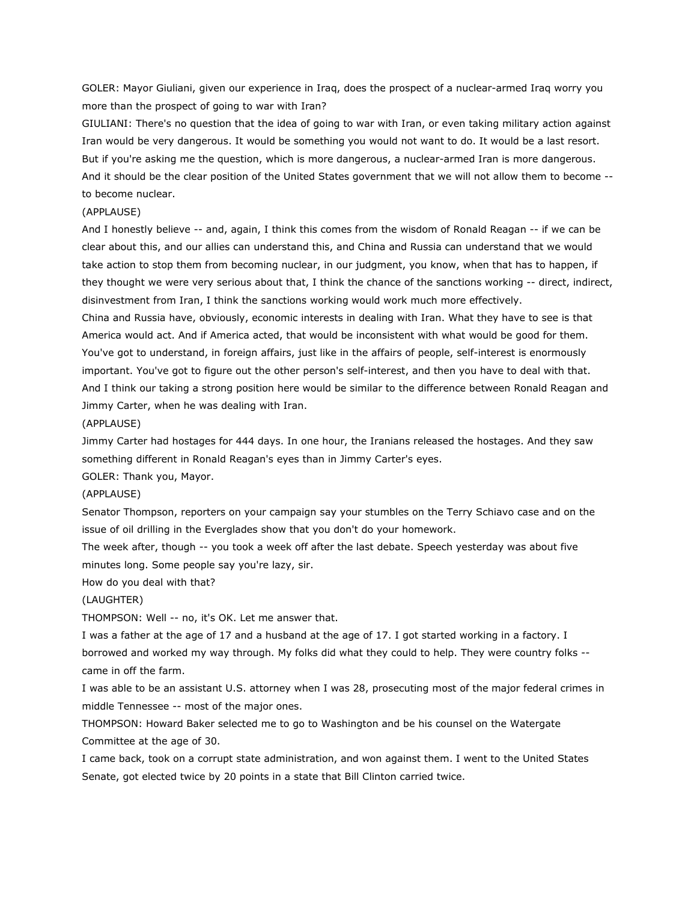GOLER: Mayor Giuliani, given our experience in Iraq, does the prospect of a nuclear-armed Iraq worry you more than the prospect of going to war with Iran?

GIULIANI: There's no question that the idea of going to war with Iran, or even taking military action against Iran would be very dangerous. It would be something you would not want to do. It would be a last resort. But if you're asking me the question, which is more dangerous, a nuclear-armed Iran is more dangerous. And it should be the clear position of the United States government that we will not allow them to become - to become nuclear.

#### (APPLAUSE)

And I honestly believe -- and, again, I think this comes from the wisdom of Ronald Reagan -- if we can be clear about this, and our allies can understand this, and China and Russia can understand that we would take action to stop them from becoming nuclear, in our judgment, you know, when that has to happen, if they thought we were very serious about that, I think the chance of the sanctions working -- direct, indirect, disinvestment from Iran, I think the sanctions working would work much more effectively.

China and Russia have, obviously, economic interests in dealing with Iran. What they have to see is that America would act. And if America acted, that would be inconsistent with what would be good for them. You've got to understand, in foreign affairs, just like in the affairs of people, self-interest is enormously important. You've got to figure out the other person's self-interest, and then you have to deal with that. And I think our taking a strong position here would be similar to the difference between Ronald Reagan and Jimmy Carter, when he was dealing with Iran.

#### (APPLAUSE)

Jimmy Carter had hostages for 444 days. In one hour, the Iranians released the hostages. And they saw something different in Ronald Reagan's eyes than in Jimmy Carter's eyes.

GOLER: Thank you, Mayor.

## (APPLAUSE)

Senator Thompson, reporters on your campaign say your stumbles on the Terry Schiavo case and on the issue of oil drilling in the Everglades show that you don't do your homework.

The week after, though -- you took a week off after the last debate. Speech yesterday was about five minutes long. Some people say you're lazy, sir.

How do you deal with that?

(LAUGHTER)

THOMPSON: Well -- no, it's OK. Let me answer that.

I was a father at the age of 17 and a husband at the age of 17. I got started working in a factory. I borrowed and worked my way through. My folks did what they could to help. They were country folks - came in off the farm.

I was able to be an assistant U.S. attorney when I was 28, prosecuting most of the major federal crimes in middle Tennessee -- most of the major ones.

THOMPSON: Howard Baker selected me to go to Washington and be his counsel on the Watergate Committee at the age of 30.

I came back, took on a corrupt state administration, and won against them. I went to the United States Senate, got elected twice by 20 points in a state that Bill Clinton carried twice.